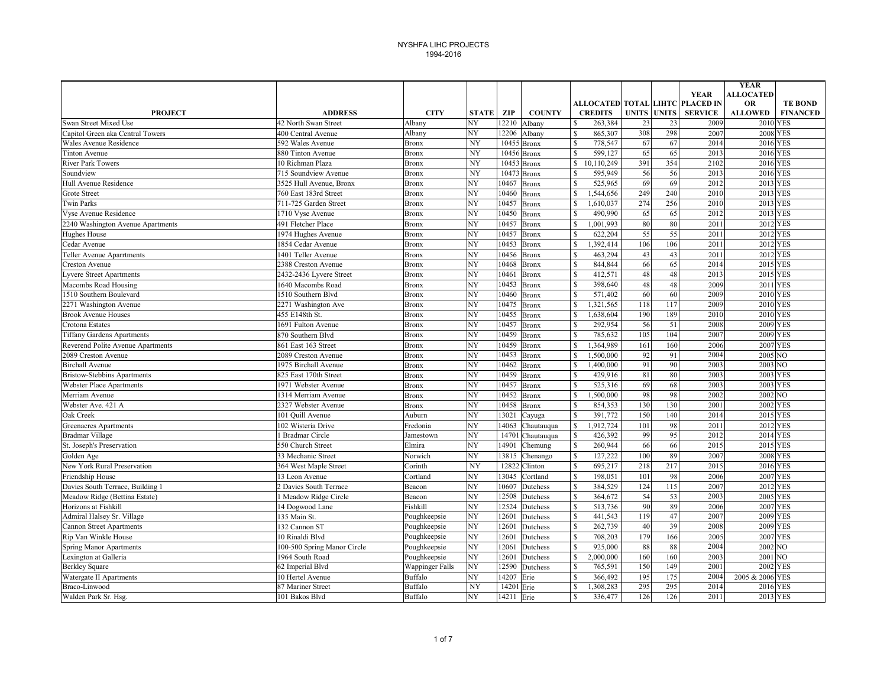|                                          |                                     |                        |                        |                |               |                                       |            |                    |                                                   | <b>YEAR</b>                 |                 |
|------------------------------------------|-------------------------------------|------------------------|------------------------|----------------|---------------|---------------------------------------|------------|--------------------|---------------------------------------------------|-----------------------------|-----------------|
|                                          |                                     |                        |                        |                |               |                                       |            |                    | <b>YEAR</b>                                       | <b>ALLOCATED</b>            | <b>TE BOND</b>  |
| <b>PROJECT</b>                           | <b>ADDRESS</b>                      | <b>CITY</b>            | <b>STATE</b>           | ZIP            | <b>COUNTY</b> | <b>CREDITS</b>                        |            | <b>UNITS UNITS</b> | ALLOCATED TOTAL LIHTC PLACED IN<br><b>SERVICE</b> | <b>OR</b><br><b>ALLOWED</b> | <b>FINANCED</b> |
| Swan Street Mixed Use                    | 42 North Swan Street                | Albany                 | NY                     | 12210          | Albany        | 263,384<br>\$                         | 23         | 23                 | 2009                                              | <b>2010 YES</b>             |                 |
| Capitol Green aka Central Towers         | 400 Central Avenue                  | Albany                 | NY                     | 12206          | Albany        | \$<br>865,307                         | 308        | 298                | 2007                                              | 2008 YES                    |                 |
| Wales Avenue Residence                   | 592 Wales Avenue                    | <b>Bronx</b>           | NY                     |                | 10455 Bronx   | \$<br>778,547                         | 67         | 67                 | 2014                                              | 2016 YES                    |                 |
| <b>Tinton Avenue</b>                     | 880 Tinton Avenue                   | <b>Bronx</b>           | NY                     |                | 10456 Bronx   | \$<br>599,127                         | 65         | 65                 | 2013                                              | 2016 YES                    |                 |
| River Park Towers                        | 10 Richman Plaza                    | <b>Bronx</b>           | NY                     |                | 10453 Bronx   | 10,110,249<br>\$                      | 391        | 354                | 2102                                              | 2016 YES                    |                 |
| Soundview                                | 715 Soundview Avenue                | <b>Bronx</b>           | NY                     |                | 10473 Bronx   | \$<br>595,949                         | 56         | 56                 | 2013                                              | 2016 YES                    |                 |
| Hull Avenue Residence                    | 3525 Hull Avenue, Bronx             | <b>Bronx</b>           | NY                     | 10467          | <b>Bronx</b>  | \$<br>525,965                         | 69         | 69                 | 2012                                              | 2013 YES                    |                 |
| <b>Grote Street</b>                      | 760 East 183rd Street               | <b>Bronx</b>           | NY                     | 10460          | <b>Bronx</b>  | $\mathbf S$<br>,544,656               | 249        | 240                | 2010                                              | 2013 YES                    |                 |
| <b>Twin Parks</b>                        | 711-725 Garden Street               | <b>Bronx</b>           | $\overline{\text{NY}}$ | 10457          | <b>Bronx</b>  | $\mathbf{\hat{S}}$<br>1,610,037       | 274        | 256                | 2010                                              | 2013 YES                    |                 |
| Vyse Avenue Residence                    | 1710 Vyse Avenue                    | <b>Bronx</b>           | NY                     | 10450          | <b>Bronx</b>  | $\mathbb{S}$<br>490,990               | 65         | 65                 | 2012                                              | 2013 YES                    |                 |
| 2240 Washington Avenue Apartments        | 491 Fletcher Place                  | <b>Bronx</b>           | NY                     | 10457          | Bronx         | \$<br>1,001,993                       | 80         | 80                 | 2011                                              | 2012 YES                    |                 |
| Hughes House                             | 1974 Hughes Avenue                  | <b>Bronx</b>           | NY                     | 10457          | <b>Bronx</b>  | $\mathbf S$<br>622,204                | 55         | 55                 | 2011                                              | 2012 YES                    |                 |
| Cedar Avenue                             | 1854 Cedar Avenue                   | <b>Bronx</b>           | NY                     | 10453          | <b>Bronx</b>  | ,392,414<br>\$                        | 106        | 106                | 2011                                              | 2012 YES                    |                 |
| Teller Avenue Aparrtments                | 1401 Teller Avenue                  | <b>Bronx</b>           | NY                     | 10456          | <b>Bronx</b>  | \$<br>463,294                         | 43         | 43                 | 2011                                              | 2012 YES                    |                 |
| <b>Creston Avenue</b>                    | 2388 Creston Avenue                 | <b>Bronx</b>           | NY                     | 10468          | <b>Bronx</b>  | 844,844<br>\$.                        | 66         | 65                 | 2014                                              | 2015 YES                    |                 |
| vvere Street Apartments                  | 2432-2436 Lyvere Street             | <b>Bronx</b>           | NY                     | 10461          | <b>Bronx</b>  | \$<br>412,571                         | 48         | 48                 | 2013                                              | 2015 YES                    |                 |
| Macombs Road Housing                     | 1640 Macombs Road                   | <b>Bronx</b>           | NY                     | 10453          | <b>Bronx</b>  | $\mathbf S$<br>398,640                | 48         | 48                 | 2009                                              | 2011 YES                    |                 |
| 1510 Southern Boulevard                  | 1510 Southern Blvd                  | <b>Bronx</b>           | NY                     | 10460          | Bronx         | $\mathbf{s}$<br>571,402               | 60         | 60                 | 2009                                              | 2010 YES                    |                 |
| 2271 Washington Avenue                   | 2271 Washington Ave                 | <b>Bronx</b>           | NY                     | 10475          | <b>Bronx</b>  | 1,321,565<br>\$                       | 118        | 117                | 2009                                              | 2010 YES                    |                 |
| <b>Brook Avenue Houses</b>               | 455 E148th St.                      | <b>Bronx</b>           | NY                     | 10455          | <b>Bronx</b>  | \$.<br>1,638,604                      | 190        | 189                | 2010                                              | 2010 YES                    |                 |
| Crotona Estates                          | 1691 Fulton Avenue                  | <b>Bronx</b>           | NY                     | 10457          | <b>Bronx</b>  | \$<br>292,954                         | 56         | 51                 | 2008                                              | 2009 YES                    |                 |
| <b>Tiffany Gardens Apartments</b>        | 870 Southern Blvd                   | <b>Bronx</b>           | NY                     | 10459          | <b>Bronx</b>  | \$<br>785,632                         | 105        | 104                | 2007                                              | 2009 YES                    |                 |
| Reverend Polite Avenue Apartments        | 861 East 163 Street                 | <b>Bronx</b>           | NY                     | 10459          | <b>Bronx</b>  | \$<br>1,364,989                       | 161        | 160                | 2006                                              | 2007 YES                    |                 |
| 2089 Creston Avenue                      | 2089 Creston Avenue                 | <b>Bronx</b>           | NY                     | 10453          | <b>Bronx</b>  | \$<br>1,500,000                       | 92         | 91                 | 2004                                              | 2005 NO                     |                 |
| <b>Birchall Avenue</b>                   | 1975 Birchall Avenue                | <b>Bronx</b>           | NY                     | 10462          | <b>Bronx</b>  | $\mathbf S$<br>1,400,000              | 91         | 90                 | 2003                                              | 2003 NO                     |                 |
| <b>Bristow-Stebbins Apartments</b>       | 825 East 170th Street               | <b>Bronx</b>           | NY                     | 10459          | <b>Bronx</b>  | $\mathbf S$<br>429,916                | 81         | 80                 | 2003                                              | 2003 YES                    |                 |
| <b>Webster Place Apartments</b>          | 1971 Webster Avenue                 | <b>Bronx</b>           | NY                     | 10457          | <b>Bronx</b>  | \$<br>525,316                         | 69         | 68                 | 2003                                              | 2003 YES                    |                 |
| Merriam Avenue                           | 1314 Merriam Avenue                 | <b>Bronx</b>           | NY                     | 10452          | <b>Bronx</b>  | ,500,000<br>\$                        | 98         | 98                 | 2002                                              | 2002 NO                     |                 |
| Webster Ave. 421 A                       | 2327 Webster Avenue                 | <b>Bronx</b>           | NY                     | 10458          | <b>Bronx</b>  | $\mathbb{S}$<br>854,353               | 130        | 130                | 2001                                              | 2002 YES                    |                 |
| Oak Creek                                | 101 Quill Avenue                    | Auburn                 | NY                     | 13021          | Cayuga        | $\mathbf{\hat{S}}$<br>391,772         | 150        | 140                | 2014                                              | 2015 YES                    |                 |
| <b>Greenacres Apartments</b>             | 102 Wisteria Drive                  | Fredonia               | NY                     | 14063          | Chautauqua    | $\mathbf S$<br>1,912,724              | 101        | 98                 | 2011                                              | 2012 YES                    |                 |
| <b>Bradmar Village</b>                   | <b>Bradmar Circle</b>               | Jamestown              | NY                     | 14701          | Chautauqua    | \$<br>426,392                         | 99         | 95                 | 2012                                              | 2014 YES                    |                 |
| St. Joseph's Preservation                | 550 Church Street                   | Elmira                 | NY                     | 14901          | Chemung       | $\mathbb{S}$<br>260,944               | 66         | 66                 | 2015                                              | 2015 YES                    |                 |
| Golden Age                               | 33 Mechanic Street                  | Norwich                | NY                     | 13815          | Chenango      | $\mathbf S$<br>127,222                | 100        | 89                 | 2007                                              | <b>2008 YES</b>             |                 |
| New York Rural Preservation              | 364 West Maple Street               | Corinth                | NY                     | 12822          | Clinton       | \$<br>695,217                         | 218        | 217                | 2015                                              | 2016 YES                    |                 |
| Friendship House                         | 13 Leon Avenue                      | Cortland               | NY                     | 13045          | Cortland      | \$<br>198,051                         | 101        | 98                 | 2006                                              | 2007 YES                    |                 |
| Davies South Terrace, Building 1         | 2 Davies South Terrace              | Beacon                 | NY                     | 10607          | Dutchess      | \$<br>384,529                         | 124        | 115                | 2007                                              | 2012 YES                    |                 |
| Meadow Ridge (Bettina Estate)            | 1 Meadow Ridge Circle               | Beacon                 | NY                     | 12508          | Dutchess      | $\mathbf{\hat{S}}$<br>364,672         | 54         | 53                 | 2003                                              | 2005 YES                    |                 |
| Horizons at Fishkill                     | 14 Dogwood Lane                     | Fishkill               | NY                     | 12524          | Dutchess      | $\mathbf S$<br>513,736                | 90<br>119  | 89                 | 2006                                              | 2007 YES                    |                 |
| Admiral Halsey Sr. Village               | 135 Main St.                        | Poughkeepsie           | NY<br>NY               | 12601          | Dutchess      | $\mathbf S$<br>441,543                |            | 47<br>39           | 2007                                              | <b>2009 YES</b>             |                 |
| <b>Cannon Street Apartments</b>          | 132 Cannon ST                       | Poughkeepsie           |                        | 12601          | Dutchess      | \$<br>262,739                         | 40         |                    | 2008                                              | 2009 YES                    |                 |
| Rip Van Winkle House                     | 10 Rinaldi Blvd                     | Poughkeepsie           | NY                     | 12601          | Dutchess      | \$<br>708,203<br>\$                   | 179        | 166                | 2005<br>2004                                      | 2007 YES                    |                 |
| <b>Spring Manor Apartments</b>           | 100-500 Spring Manor Circle         | Poughkeepsie           | NY                     | 12061          | Dutchess      | 925,000                               | 88         | 88                 |                                                   | 2002 NO                     |                 |
| Lexington at Galleria                    | 1964 South Road                     | Poughkeepsie           | NY<br>NY               | 12601<br>12590 | Dutchess      | \$<br>2,000,000<br>$\mathbf{\hat{S}}$ | 160<br>150 | 160<br>149         | 2003<br>2001                                      | 2001 NO                     |                 |
| <b>Berkley Square</b>                    | 62 Imperial Blvd                    | <b>Wappinger Falls</b> | NY                     |                | Dutchess      | 765,591<br>\$                         |            | 175                | 2004                                              | 2002 YES                    |                 |
| Watergate II Apartments<br>Braco-Linwood | 10 Hertel Avenue                    | Buffalo<br>Buffalo     | NY                     | 14207<br>14201 | Erie          | 366,492<br>,308,283<br>S              | 195<br>295 | 295                | 2014                                              | 2005 & 2006 YES<br>2016 YES |                 |
|                                          | 87 Mariner Street<br>101 Bakos Blvd | Buffalo                | NY                     | 14211          | Erie<br>Erie  | \$<br>336,477                         | 126        | 126                | 2011                                              | 2013 YES                    |                 |
| Walden Park Sr. Hsg.                     |                                     |                        |                        |                |               |                                       |            |                    |                                                   |                             |                 |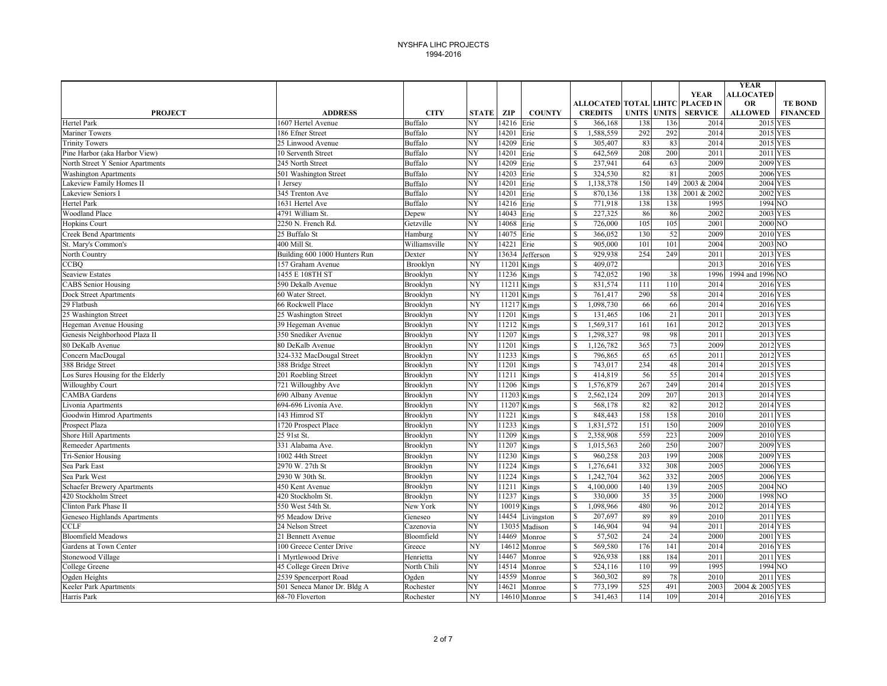|                                   |                               |                |              |               |               |                                                     |     |                    |                | <b>YEAR</b>                 |                                   |
|-----------------------------------|-------------------------------|----------------|--------------|---------------|---------------|-----------------------------------------------------|-----|--------------------|----------------|-----------------------------|-----------------------------------|
|                                   |                               |                |              |               |               |                                                     |     |                    | <b>YEAR</b>    | <b>ALLOCATED</b>            |                                   |
| <b>PROJECT</b>                    | <b>ADDRESS</b>                | <b>CITY</b>    | <b>STATE</b> | ZIP           | <b>COUNTY</b> | ALLOCATED TOTAL LIHTC PLACED IN<br><b>CREDITS</b>   |     | <b>UNITS UNITS</b> | <b>SERVICE</b> | <b>OR</b><br><b>ALLOWED</b> | <b>TE BOND</b><br><b>FINANCED</b> |
| <b>Hertel Park</b>                | 1607 Hertel Avenue            | Buffalo        | NY           | 14216         | Erie          | 366,168<br>\$.                                      | 138 | 136                | 2014           | 2015 YES                    |                                   |
| <b>Mariner Towers</b>             | 186 Efner Street              | Buffalo        | NY           | 14201         | Erie          | $\mathbf{s}$<br>1,588,559                           | 292 | 292                | 2014           | 2015 YES                    |                                   |
| <b>Trinity Towers</b>             | 25 Linwood Avenue             | Buffalo        | NY           | 14209         | Erie          | 305,407<br>\$.                                      | 83  | 83                 | 2014           | 2015 YES                    |                                   |
| Pine Harbor (aka Harbor View)     | 10 Serventh Street            | Buffalo        | NY           | 14201         | Erie          | 642,569<br>\$.                                      | 208 | 200                | 2011           | 2011 YES                    |                                   |
| North Street Y Senior Apartments  | 245 North Street              | Buffalo        | NY           | 14209         | Erie          | \$<br>237,941                                       | 64  | 63                 | 2009           | 2009 YES                    |                                   |
| <b>Washington Apartments</b>      | 501 Washington Street         | Buffalo        | NY           | 14203         | Erie          | \$<br>324,530                                       | 82  | 81                 | 2005           | 2006 YES                    |                                   |
| Lakeview Family Homes II          | 1 Jersey                      | <b>Buffalo</b> | NY           | 14201         | Erie          | ,138,378<br>\$                                      | 150 | 149                | 2003 & 2004    | 2004 YES                    |                                   |
| <b>Lakeview Seniors I</b>         | 345 Trenton Ave               | <b>Buffalo</b> | NY           | 14201         | Erie          | 870,136<br>\$                                       | 138 | 138                | 2001 & 2002    | $2002$ YES                  |                                   |
| Hertel Park                       | 1631 Hertel Ave               | <b>Buffalo</b> | NY           | 14216         | Erie          | $\mathbf S$<br>771,918                              | 138 | 138                | 1995           | 1994 NO                     |                                   |
| <b>Woodland Place</b>             | 4791 William St.              | Depew          | NY           | 14043         | Erie          | $\mathbf{\hat{S}}$<br>227,325                       | 86  | 86                 | 2002           | 2003 YES                    |                                   |
| <b>Hopkins Court</b>              | 2250 N. French Rd.            | Getzville      | NY           | 14068         | Erie          | 726,000<br>S                                        | 105 | 105                | 2001           | 2000 NO                     |                                   |
| <b>Creek Bend Apartments</b>      | 25 Buffalo St                 | Hamburg        | NY           | 14075         | Erie          | 366,052<br>\$                                       | 130 | 52                 | 2009           | 2010 YES                    |                                   |
| St. Mary's Common's               | 400 Mill St                   | Williamsville  | NY           | 14221         | Erie          | \$<br>905,000                                       | 101 | 101                | 2004           | 2003 NO                     |                                   |
| North Country                     | Building 600 1000 Hunters Run | Dexter         | NY           | 13634         | Jefferson     | $\mathbf{\hat{S}}$<br>929,938                       | 254 | 249                | 2011           | 2013 YES                    |                                   |
| <b>CCBQ</b>                       | 157 Graham Avenue             | Brooklyn       | NY           | 11201         | Kings         | \$<br>409,072                                       |     |                    | 2013           | 2016 YES                    |                                   |
| <b>Seaview Estates</b>            | 1455 E 108TH ST               | Brooklyn       | NY           | 11236         | Kings         | 742,052<br>$\mathbf{\hat{S}}$                       | 190 | 38                 | 1996           | 1994 and 1996 NO            |                                   |
| <b>CABS</b> Senior Housing        | 590 Dekalb Avenue             | Brooklyn       | NY           | 11211 Kings   |               | $\mathbf S$<br>831,574                              | 111 | 110                | 2014           | 2016 YES                    |                                   |
| Dock Street Apartments            | 60 Water Street               | Brooklyn       | NY           | 11201 Kings   |               | $\mathbf S$<br>761,417                              | 290 | 58                 | 2014           | 2016 YES                    |                                   |
| 29 Flatbush                       | 66 Rockwell Place             | Brooklyn       | NY           | 11217 Kings   |               | \$<br>1,098,730                                     | 66  | 66                 | 2014           | 2016 YES                    |                                   |
| 25 Washington Street              | 25 Washington Street          | Brooklyn       | NY           | 11201         | Kings         | $\mathbf{\hat{S}}$<br>131,465                       | 106 | 21                 | 2011           | 2013 YES                    |                                   |
| Hegeman Avenue Housing            | 39 Hegeman Avenue             | Brooklyn       | NY           | 11212         | Kings         | ,569,317<br>\$                                      | 161 | 161                | 2012           | 2013 YES                    |                                   |
| Genesis Neighborhood Plaza II     | 350 Snediker Avenue           | Brooklyn       | NY           | 11207         | Kings         | $\mathbf{\hat{S}}$<br>1,298,327                     | 98  | 98                 | 2011           | 2013 YES                    |                                   |
| 80 DeKalb Avenue                  | 80 DeKalb Avenue              | Brooklyn       | NY           | 11201         | Kings         | $\mathbf{\hat{S}}$<br>1,126,782                     | 365 | 73                 | 2009           | 2012 YES                    |                                   |
| Concern MacDougal                 | 324-332 MacDougal Street      | Brooklyn       | NY           | 11233         | Kings         | $\mathbf{\hat{S}}$<br>796,865                       | 65  | 65                 | 2011           | 2012 YES                    |                                   |
| 388 Bridge Street                 | 388 Bridge Street             | Brooklyn       | NY           | 11201         | Kings         | $\mathbb{S}$<br>743,017                             | 234 | 48                 | 2014           | 2015 YES                    |                                   |
| Los Sures Housing for the Elderly | 201 Roebling Street           | Brooklyn       | NY           | 11211         | Kings         | 414,819<br>\$                                       | 56  | 55                 | 2014           | 2015 YES                    |                                   |
| Willoughby Court                  | 721 Willoughby Ave            | Brooklyn       | NY           | 11206         | Kings         | 1,576,879<br>\$.                                    | 267 | 249                | 2014           | 2015 YES                    |                                   |
| <b>CAMBA</b> Gardens              | 690 Albany Avenue             | Brooklyn       | NY           | $11203$ Kings |               | 2,562,124<br>S                                      | 209 | 207                | 2013           | 2014 YES                    |                                   |
| Livonia Apartments                | 694-696 Livonia Ave.          | Brooklyn       | NY           | 11207         | Kings         | $\mathbf{\hat{S}}$<br>568,178                       | 82  | 82                 | 2012           | 2014 YES                    |                                   |
| Goodwin Himrod Apartments         | 143 Himrod ST                 | Brooklyn       | NY           | 11221         | Kings         | 848,443<br>\$.                                      | 158 | 158                | 2010           | 2011 YES                    |                                   |
| Prospect Plaza                    | 1720 Prospect Place           | Brooklyn       | NY           | 11233         | Kings         | 1,831,572<br>\$                                     | 151 | 150                | 2009           | 2010 YES                    |                                   |
| Shore Hill Apartments             | 25 91st St.                   | Brooklyn       | NY           | 11209         | Kings         | 2,358,908<br>S.                                     | 559 | 223                | 2009           | 2010 YES                    |                                   |
| <b>Remeeder Apartments</b>        | 331 Alabama Ave.              | Brooklyn       | NY           | 11207         | Kings         | 1,015,563<br>\$                                     | 260 | 250                | 2007           | 2009 YES                    |                                   |
| Tri-Senior Housing                | $1002$ 44th Street            | Brooklyn       | NY           | 11230         | Kings         | $\mathbf S$<br>960,258                              | 203 | 199                | 2008           | <b>2009 YES</b>             |                                   |
| Sea Park East                     | 2970 W. 27th St               | Brooklyn       | NY           | 11224         | Kings         | 1,276,641<br>\$                                     | 332 | 308                | 2005           | 2006 YES                    |                                   |
| Sea Park West                     | 2930 W 30th St.               | Brooklyn       | NY           | 11224         | Kings         | \$<br>1,242,704                                     | 362 | 332                | 2005           | 2006 YES                    |                                   |
| Schaefer Brewery Apartments       | 450 Kent Avenue               | Brooklyn       | NY           | 11211         | Kings         | \$<br>4,100,000                                     | 140 | 139                | 2005           | 2004 NO                     |                                   |
| 420 Stockholm Street              | 420 Stockholm St.             | Brooklyn       | NY           | 11237         | Kings         | 330,000<br>S                                        | 35  | 35                 | 2000           | 1998 NO                     |                                   |
| Clinton Park Phase II             | 550 West 54th St              | New York       | NY           | 10019 Kings   |               | 1,098,966<br>\$.                                    | 480 | 96                 | 2012           | 2014 YES                    |                                   |
| Geneseo Highlands Apartments      | 95 Meadow Drive               | Geneseo        | NY           | 14454         | Livingston    | $\mathbf{\hat{S}}$<br>207,697                       | 89  | 89                 | 2010           | 2011 YES                    |                                   |
| <b>CCLF</b>                       | 24 Nelson Street              | Cazenovia      | NY           | 13035         | Madison       | \$<br>146,904                                       | 94  | 94                 | 2011           | 2014 YES                    |                                   |
| <b>Bloomfield Meadows</b>         | 21 Bennett Avenue             | Bloomfield     | NY           | 14469         | Monroe        | \$<br>57,502                                        | 24  | 24                 | 2000           | <b>2001 YES</b>             |                                   |
| Gardens at Town Center            | 100 Greece Center Drive       | Greece         | NY           |               | 14612 Monroe  | \$<br>569,580                                       | 176 | 141                | 2014           | 2016 YES                    |                                   |
| Stonewood Village                 | <b>Myrtlewood Drive</b>       | Henrietta      | NY           | 14467         | Monroe        | \$<br>926,938                                       | 188 | 184                | 2011           | 2011 YES                    |                                   |
| College Greene                    | 45 College Green Drive        | North Chili    | NY           | 14514         | Monroe        | $\mathbf{\hat{S}}$<br>524,116<br>$\mathbf{\hat{S}}$ | 110 | 99                 | 1995           | 1994 NO                     |                                   |
| Ogden Heights                     | 2539 Spencerport Road         | Ogden          | NY           | 14559         | Monroe        | 360,302                                             | 89  | 78                 | 2010           | 2011 YES                    |                                   |
| Keeler Park Apartments            | 501 Seneca Manor Dr. Bldg A   | Rochester      | NY           | 14621         | Monroe        | 773,199<br>S                                        | 525 | 491                | 2003           | 2004 & 2005 YES             |                                   |
| Harris Park                       | 68-70 Floverton               | Rochester      | NY           |               | 14610 Monroe  | $\mathbf S$<br>341,463                              | 114 | 109                | 2014           | 2016 YES                    |                                   |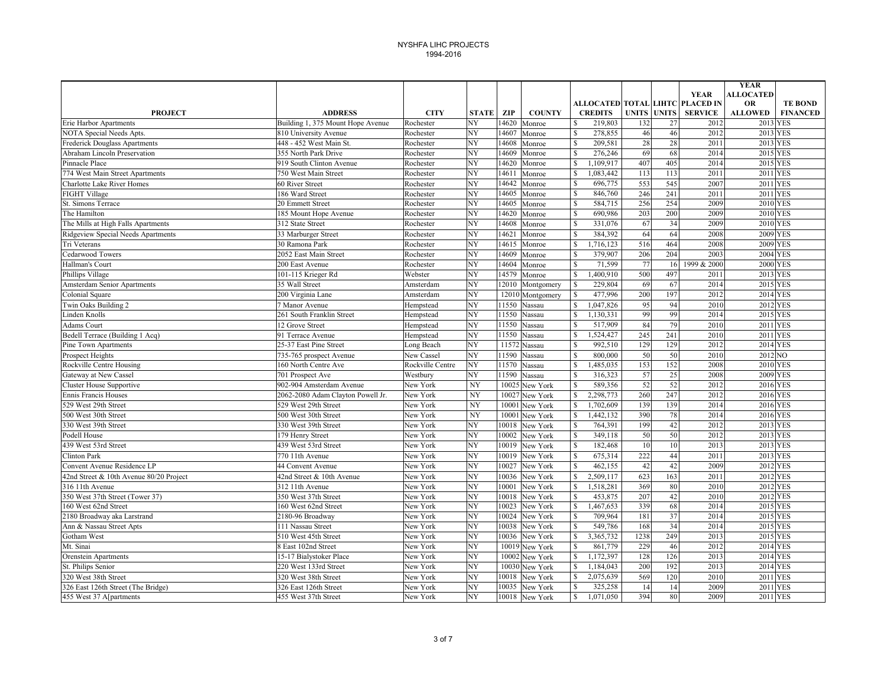|                                         |                                   |                  |                        |       |                  |                                                   |      |                    |                | <b>YEAR</b>                 |                                   |
|-----------------------------------------|-----------------------------------|------------------|------------------------|-------|------------------|---------------------------------------------------|------|--------------------|----------------|-----------------------------|-----------------------------------|
|                                         |                                   |                  |                        |       |                  |                                                   |      |                    | <b>YEAR</b>    | <b>ALLOCATED</b>            |                                   |
| <b>PROJECT</b>                          | <b>ADDRESS</b>                    | <b>CITY</b>      | <b>STATE</b>           | ZIP   | <b>COUNTY</b>    | ALLOCATED TOTAL LIHTC PLACED IN<br><b>CREDITS</b> |      | <b>UNITS UNITS</b> | <b>SERVICE</b> | <b>OR</b><br><b>ALLOWED</b> | <b>TE BOND</b><br><b>FINANCED</b> |
| Erie Harbor Apartments                  | Building 1, 375 Mount Hope Avenue | Rochester        | NY                     | 14620 | Monroe           | 219,803<br>\$                                     | 132  | 27                 | 2012           | 2013 YES                    |                                   |
| NOTA Special Needs Apts.                | 810 University Avenue             | Rochester        | NY                     | 14607 | Monroe           | $\mathbf S$<br>278,855                            | 46   | 46                 | 2012           | 2013 YES                    |                                   |
| <b>Frederick Douglass Apartments</b>    | 448 - 452 West Main St.           | Rochester        | NY                     | 14608 | Monroe           | \$<br>209,581                                     | 28   | 28                 | 2011           | 2013 YES                    |                                   |
| Abraham Lincoln Preservation            | 355 North Park Drive              | Rochester        | NY                     | 14609 | Monroe           | $\mathbf{\hat{S}}$<br>276,246                     | 69   | 68                 | 2014           | 2015 YES                    |                                   |
| Pinnacle Place                          | 919 South Clinton Avenue          | Rochester        | NY                     | 14620 | Monroe           | \$<br>,109,917                                    | 407  | 405                | 2014           | 2015 YES                    |                                   |
| 774 West Main Street Apartments         | 750 West Main Street              | Rochester        | NY                     | 14611 | Monroe           | $\mathbf S$<br>,083,442                           | 113  | 113                | 2011           | 2011 YES                    |                                   |
| <b>Charlotte Lake River Homes</b>       | 60 River Street                   | Rochester        | NY                     | 14642 | Monroe           | \$<br>696,775                                     | 553  | 545                | 2007           | 2011 YES                    |                                   |
| <b>FIGHT Village</b>                    | 186 Ward Street                   | Rochester        | NY                     | 14605 | Monroe           | \$<br>846,760                                     | 246  | 241                | 2011           | 2011 YES                    |                                   |
| St. Simons Terrace                      | 20 Emmett Street                  | Rochester        | NY                     | 14605 | Monroe           | $\mathbb{S}$<br>584,715                           | 256  | 254                | 2009           | 2010 YES                    |                                   |
| The Hamilton                            | 185 Mount Hope Avenue             | Rochester        | NY                     | 14620 | Monroe           | \$<br>690,986                                     | 203  | 200                | 2009           | 2010 YES                    |                                   |
| The Mills at High Falls Apartments      | 312 State Street                  | Rochester        | NY                     | 14608 | Monroe           | \$<br>331,076                                     | 67   | 34                 | 2009           | 2010 YES                    |                                   |
| Ridgeview Special Needs Apartments      | 33 Marburger Street               | Rochester        | NY                     | 14621 | Monroe           | 384,392<br>\$                                     | 64   | 64                 | 2008           | 2009 YES                    |                                   |
| Tri Veterans                            | 30 Ramona Park                    | Rochester        | NY                     | 14615 | Monroe           | $\mathbf S$<br>,716,123                           | 516  | 464                | 2008           | 2009 YES                    |                                   |
| Cedarwood Towers                        | 2052 East Main Street             | Rochester        | NY                     | 14609 | Monroe           | $\mathbf{\hat{S}}$<br>379,907                     | 206  | 204                | 2003           | 2004 YES                    |                                   |
| Hallman's Court                         | 200 East Avenue                   | Rochester        | NY                     | 14604 | Monroe           | \$<br>71,599                                      | 77   | 16                 | 1999 & 2000    | 2000 YES                    |                                   |
| Phillips Village                        | 101-115 Krieger Rd                | Webster          | $\overline{\text{NY}}$ | 14579 | Monroe           | $\mathbb{S}$<br>1,400,910                         | 500  | 497                | 2011           | 2013 YES                    |                                   |
| Amsterdam Senior Apartments             | 35 Wall Street                    | Amsterdam        | NY                     | 12010 | Montgomery       | $\mathbb{S}$<br>229,804                           | 69   | 67                 | 2014           | 2015 YES                    |                                   |
| Colonial Square                         | 200 Virginia Lane                 | Amsterdam        | NY                     |       | 12010 Montgomery | $\mathbb{S}$<br>477,996                           | 200  | 197                | 2012           | 2014 YES                    |                                   |
| Twin Oaks Building 2                    | 7 Manor Avenue                    | Hempstead        | NY                     | 11550 | Nassau           | \$<br>1,047,826                                   | 95   | 94                 | 2010           | 2012 YES                    |                                   |
| Linden Knolls                           | 261 South Franklin Street         | Hempstead        | NY                     | 11550 | Nassau           | $\mathbb{S}$<br>1,130,331                         | 99   | 99                 | 2014           | 2015 YES                    |                                   |
| Adams Court                             | 12 Grove Street                   | Hempstead        | NY                     | 11550 | Nassau           | \$<br>517,909                                     | 84   | 79                 | 2010           | 2011 YES                    |                                   |
| Bedell Terrace (Building 1 Acq)         | 91 Terrace Avenue                 | Hempstead        | NY                     | 11550 | Nassau           | ,524,427<br>$\mathbf S$                           | 245  | 241                | 2010           | 2011 YES                    |                                   |
| Pine Town Apartments                    | 25-37 East Pine Street            | Long Beach       | NY                     | 11572 | Nassau           | 992,510<br>$\mathbf{\hat{S}}$                     | 129  | 129                | 2012           | 2014 YES                    |                                   |
| <b>Prospect Heights</b>                 | 735-765 prospect Avenue           | New Cassel       | NY                     | 11590 | Nassau           | 800,000<br>$\mathbf S$                            | 50   | 50                 | 2010           | 2012 NO                     |                                   |
| Rockville Centre Housing                | 160 North Centre Ave              | Rockville Centre | NY                     | 11570 | Nassau           | $\mathbb{S}$<br>1,485,035                         | 153  | 152                | 2008           | 2010 YES                    |                                   |
| Gateway at New Cassel                   | 701 Prospect Ave                  | Westbury         | NY                     | 11590 | Nassau           | 316,323<br>S                                      | 57   | 25                 | 2008           | 2009 YES                    |                                   |
| <b>Cluster House Supportive</b>         | 902-904 Amsterdam Avenue          | New York         | NY                     | 10025 | New York         | 589,356<br>\$                                     | 52   | 52                 | 2012           | 2016 YES                    |                                   |
| <b>Ennis Francis Houses</b>             | 2062-2080 Adam Clayton Powell Jr. | New York         | NY                     | 10027 | New York         | \$<br>2,298,773                                   | 260  | 247                | 2012           | 2016 YES                    |                                   |
| 529 West 29th Street                    | 529 West 29th Street              | New York         | NY                     | 10001 | New York         | $\mathbf S$<br>1,702,609                          | 139  | 139                | 2014           | 2016 YES                    |                                   |
| 500 West 30th Street                    | 500 West 30th Street              | New York         | NY                     | 10001 | New York         | $\mathbf S$<br>1,442,132                          | 390  | 78                 | 2014           | 2016 YES                    |                                   |
| 330 West 39th Street                    | 330 West 39th Street              | New York         | NY                     | 10018 | New York         | 764,391<br>\$                                     | 199  | 42                 | 2012           | 2013 YES                    |                                   |
| Podell House                            | 179 Henry Street                  | New York         | NY                     | 10002 | New York         | $\mathbf S$<br>349.118                            | 50   | 50                 | 2012           | 2013 YES                    |                                   |
| 439 West 53rd Street                    | 439 West 53rd Street              | New York         | NY                     | 10019 | New York         | $\mathbf{\hat{S}}$<br>182,468                     | 10   | 10                 | 2013           | 2013 YES                    |                                   |
| <b>Clinton Park</b>                     | 770 11th Avenue                   | New York         | NY                     | 10019 | New York         | $\mathbf S$<br>675,314                            | 222  | 44                 | 2011           | 2013 YES                    |                                   |
| Convent Avenue Residence LP             | 44 Convent Avenue                 | New York         | NY                     | 10027 | New York         | \$<br>462,155                                     | 42   | 42                 | 2009           | 2012 YES                    |                                   |
| 42nd Street & 10th Avenue 80/20 Project | 42nd Street & 10th Avenue         | New York         | NY                     | 10036 | New York         | \$<br>2,509,117                                   | 623  | 163                | 2011           | 2012 YES                    |                                   |
| 316 11th Avenue                         | 312 11th Avenue                   | New York         | NY                     | 10001 | New York         | \$<br>,518,281                                    | 369  | 80                 | 2010           | 2012 YES                    |                                   |
| 350 West 37th Street (Tower 37)         | 350 West 37th Street              | New York         | NY                     | 10018 | New York         | $\mathbf S$<br>453,875                            | 207  | 42                 | 2010           | 2012 YES                    |                                   |
| 160 West 62nd Street                    | 160 West 62nd Street              | New York         | NY                     | 10023 | New York         | \$<br>1,467,653                                   | 339  | 68                 | 2014           | 2015 YES                    |                                   |
| 2180 Broadway aka Larstrand             | 2180-96 Broadway                  | New York         | NY                     | 10024 | New York         | 709,964<br>\$                                     | 181  | 37                 | 2014           | 2015 YES                    |                                   |
| Ann & Nassau Street Apts                | 111 Nassau Street                 | New York         | NY                     | 10038 | New York         | \$<br>549,786                                     | 168  | 34                 | 2014           | 2015 YES                    |                                   |
| Gotham West                             | 510 West 45th Street              | New York         | NY                     | 10036 | New York         | \$<br>3,365,732                                   | 1238 | 249                | 2013           | 2015 YES                    |                                   |
| Mt. Sinai                               | 8 East 102nd Street               | New York         | NY                     |       | 10019 New York   | \$<br>861,779                                     | 229  | 46                 | 2012           | 2014 YES                    |                                   |
| Orenstein Apartments                    | 15-17 Bialystoker Place           | New York         | NY                     | 10002 | New York         | \$<br>$\overline{1,172,397}$                      | 128  | 126                | 2013           | 2014 YES                    |                                   |
| St. Philips Senior                      | 220 West 133rd Street             | New York         | NY                     | 10030 | New York         | $\mathbf S$<br>1,184,043                          | 200  | 192                | 2013           | 2014 YES                    |                                   |
| 320 West 38th Street                    | 320 West 38th Street              | New York         | NY                     | 10018 | New York         | \$<br>2,075,639                                   | 569  | 120                | 2010           | 2011 YES                    |                                   |
| 326 East 126th Street (The Bridge)      | 326 East 126th Street             | New York         | NY                     | 10035 | New York         | 325,258<br>\$.                                    | 14   | 14                 | 2009           | 2011 YES                    |                                   |
| 455 West 37 A[partments                 | 455 West 37th Street              | New York         | NY                     | 10018 | New York         | $\mathbf S$<br>1,071,050                          | 394  | 80                 | 2009           | 2011 YES                    |                                   |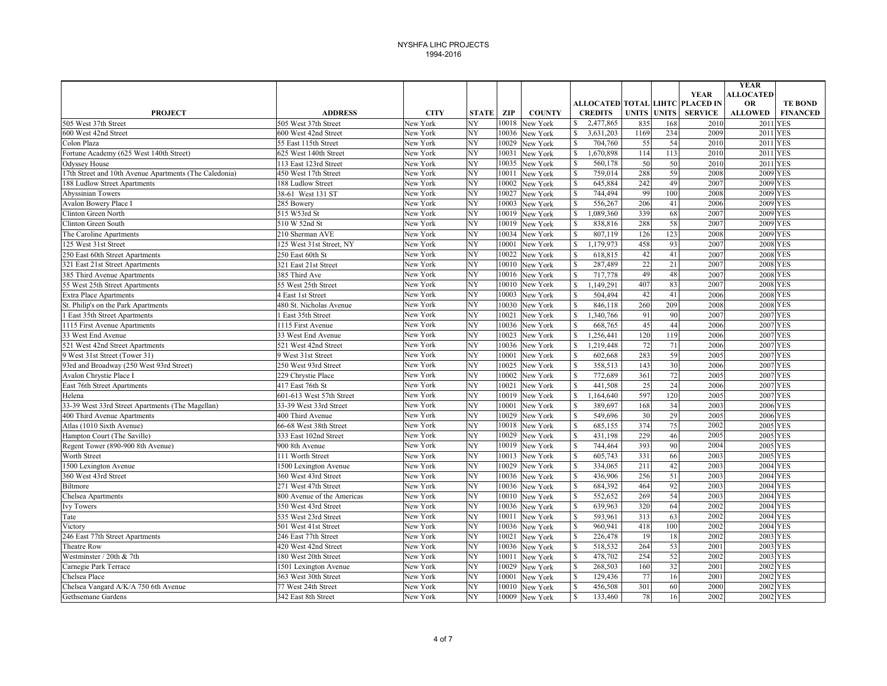|                                                        |                            |             |              |       |                |              |                    |              |                 |                                 | <b>YEAR</b>                 |                 |
|--------------------------------------------------------|----------------------------|-------------|--------------|-------|----------------|--------------|--------------------|--------------|-----------------|---------------------------------|-----------------------------|-----------------|
|                                                        |                            |             |              |       |                |              |                    |              |                 | <b>YEAR</b>                     | <b>ALLOCATED</b>            |                 |
|                                                        |                            |             |              |       |                |              |                    |              |                 | ALLOCATED TOTAL LIHTC PLACED IN | <b>OR</b>                   | <b>TE BOND</b>  |
| <b>PROJECT</b>                                         | <b>ADDRESS</b>             | <b>CITY</b> | <b>STATE</b> | ZIP   | <b>COUNTY</b>  |              | <b>CREDITS</b>     | <b>UNITS</b> | <b>UNITS</b>    | <b>SERVICE</b>                  | <b>ALLOWED</b>              | <b>FINANCED</b> |
| 505 West 37th Street                                   | 505 West 37th Street       | New York    | NY           | 10018 | New York       | S.           | 2,477,865          | 835          | 168             | 2010                            | 2011 YES                    |                 |
| 600 West 42nd Street                                   | 600 West 42nd Street       | New York    | NY           | 10036 | New York       | $\mathbb{S}$ | 3,631,203          | 1169         | 234             | 2009                            | 2011 YES                    |                 |
| Colon Plaza                                            | 55 East 115th Street       | New York    | NY           | 10029 | New York       | $\mathbf S$  | 704,760            | 55           | 54              | 2010                            | 2011 YES                    |                 |
| Fortune Academy (625 West 140th Street)                | 625 West 140th Street      | New York    | NY           | 10031 | New York       | $\mathbb{S}$ | 1,670,898          | 114          | 113             | 2010                            | 2011 YES                    |                 |
| <b>Odyssey House</b>                                   | 113 East 123rd Street      | New York    | NY           | 10035 | New York       | \$           | 560,178            | 50           | 50              | 2010                            | 2011 YES                    |                 |
| 17th Street and 10th Avenue Apartments (The Caledonia) | 450 West 17th Street       | New York    | NY           | 10011 | New York       | $\mathbb{S}$ | 759,014            | 288          | 59              | 2008                            | 2009 YES                    |                 |
| 188 Ludlow Street Apartments                           | 188 Ludlow Street          | New York    | NY           | 10002 | New York       | $\mathbb{S}$ | 645,884            | 242          | 49              | 2007                            | 2009 YES                    |                 |
| Abyssinian Towers                                      | 38-61 West 131 ST          | New York    | NY           | 10027 | New York       | $\mathbb{S}$ | 744,494            | 99           | 100             | 2008                            | 2009 YES                    |                 |
| <b>Avalon Bowery Place I</b>                           | 285 Bowery                 | New York    | NY           | 10003 | New York       | $\mathbb{S}$ | 556,267            | 206          | 41              | 2006                            | 2009 YES                    |                 |
| Clinton Green North                                    | 515 W53rd St               | New York    | NY           | 10019 | New York       | \$           | 1,089,360          | 339          | 68              | 2007                            | 2009 YES                    |                 |
| <b>Clinton Green South</b>                             | 510 W 52nd St              | New York    | NY           | 10019 | New York       | $\mathbf S$  | 838,816            | 288          | 58              | 2007                            | <b>2009</b> YES             |                 |
| The Caroline Apartments                                | 210 Sherman AVE            | New York    | NY           | 10034 | New York       | $\mathbf S$  | 807,119            | 126          | 123             | 2008                            | 2009 YES                    |                 |
| 125 West 31st Street                                   | 125 West 31st Street, NY   | New York    | NY           | 10001 | New York       | $\mathbf S$  | 1,179,973          | 458          | 93              | 2007                            | <b>2008 YES</b>             |                 |
| 250 East 60th Street Apartments                        | 250 East 60th St           | New York    | NY           | 10022 | New York       | $\mathbb{S}$ | 618,815            | 42           | 41              | 2007                            | 2008 YES                    |                 |
| 321 East 21st Street Apartments                        | 321 East 21st Street       | New York    | NY           |       | 10010 New York | $\mathbb{S}$ | 287,489            | 22           | $\overline{21}$ | 2007                            | 2008 YES                    |                 |
| 385 Third Avenue Apartments                            | 385 Third Ave              | New York    | NY           | 10016 | New York       | $\mathbb{S}$ | 717,778            | 49           | 48              | 2007                            | 2008 YES                    |                 |
| 55 West 25th Street Apartments                         | 55 West 25th Street        | New York    | NY           | 10010 | New York       | $\mathbb{S}$ | 1,149,291          | 407          | 83              | 2007                            | <b>2008 YES</b>             |                 |
| <b>Extra Place Apartments</b>                          | 4 East 1st Street          | New York    | NY           | 10003 | New York       | $\mathbb{S}$ | 504,494            | 42           | 41              | 2006                            | <b>2008 YES</b>             |                 |
| St. Philip's on the Park Apartments                    | 480 St. Nicholas Avenue    | New York    | NY           | 10030 | New York       | $\mathbb{S}$ | 846,118            | 260          | 209             | 2008                            | <b>2008 YES</b>             |                 |
| 1 East 35th Street Apartments                          | <b>East 35th Street</b>    | New York    | NY           | 10021 | New York       | $\mathbb{S}$ | 1,340,766          | 91           | 90              | 2007                            | 2007 YES                    |                 |
| 1115 First Avenue Apartments                           | 1115 First Avenue          | New York    | NY           | 10036 | New York       | $\mathbf S$  | 668,765            | 45           | 44              | 2006                            | 2007 YES                    |                 |
| 33 West End Avenue                                     | 33 West End Avenue         | New York    | NY           |       | 10023 New York | $\mathbf S$  | 1,256,441          | 120          | 119             | 2006                            | <b>2007 YES</b>             |                 |
| 521 West 42nd Street Apartments                        | 521 West 42nd Street       | New York    | NY           |       | 10036 New York | $\mathbb{S}$ | 1,219,448          | 72           | 71              | 2006                            | <b>2007 YES</b>             |                 |
| 9 West 31st Street (Tower 31)                          | 9 West 31st Street         | New York    | NY           | 10001 | New York       | $\mathbb{S}$ | 602,668            | 283          | 59              | 2005                            | 2007 YES                    |                 |
| 93rd and Broadway (250 West 93rd Street)               | 250 West 93rd Street       | New York    | NΥ           | 10025 | New York       | $\mathbb{S}$ | 358,513            | 143          | 30              | 2006                            | 2007 YES                    |                 |
| Avalon Chrystie Place I                                | 229 Chrystie Place         | New York    | NY           | 10002 | New York       | $\mathbb{S}$ | 772,689            | 361          | 72              | 2005                            | 2007 YES                    |                 |
| East 76th Street Apartments                            | 417 East 76th St           | New York    | NY           | 10021 | New York       | $\mathbb{S}$ | 441,508            | 25           | 24              | 2006                            | 2007 YES                    |                 |
| Helena                                                 | 601-613 West 57th Street   | New York    | NY           | 10019 | New York       | $\mathbb{S}$ | 1,164,640          | 597          | 120             | 2005                            | 2007 YES                    |                 |
| 33-39 West 33rd Street Apartments (The Magellan)       | 33-39 West 33rd Street     | New York    | NY           | 10001 | New York       | $\mathbf S$  | 389,697            | 168          | 34              | 2003                            | 2006 YES                    |                 |
| 400 Third Avenue Apartments                            | 400 Third Avenue           | New York    | NY           | 10029 | New York       | $\mathbb{S}$ | 549,696            | 30           | 29              | 2005                            | 2006 YES                    |                 |
| Atlas (1010 Sixth Avenue)                              | 66-68 West 38th Street     | New York    | NY           | 10018 | New York       | $\mathbf S$  | 685,155            | 374          | 75              | 2002                            | 2005 YES                    |                 |
| Hampton Court (The Saville)                            | 333 East 102nd Street      | New York    | NY           | 10029 | New York       | \$           | 431,198            | 229          | 46              | 2005                            | 2005 YES                    |                 |
| Regent Tower (890-900 8th Avenue)                      | 900 8th Avenue             | New York    | NY           | 10019 | New York       | $\mathbb{S}$ | 744,464            | 393          | 90              | 2004                            | 2005 YES                    |                 |
| Worth Street                                           | 111 Worth Street           | New York    | NY           | 10013 | New York       | $\mathbb{S}$ | 605,743            | 331          | 66              | 2003                            | 2005 YES                    |                 |
| 1500 Lexington Avenue                                  | 1500 Lexington Avenue      | New York    | NY           | 10029 | New York       | $\mathbb{S}$ | 334,065            | 211          | 42              | 2003                            | <b>2004 YES</b>             |                 |
| 360 West 43rd Street                                   | 360 West 43rd Street       | New York    | NY           | 10036 | New York       | $\mathbb{S}$ | 436,906            | 256          | 51              | 2003                            | <b>2004 YES</b>             |                 |
| Biltmore                                               | 271 West 47th Street       | New York    | NY           | 10036 | New York       | \$           | 684,392            | 464          | 92              | 2003                            | <b>2004 YES</b>             |                 |
| Chelsea Apartments                                     | 800 Avenue of the Americas | New York    | NY           | 10010 | New York       | $\mathbf S$  | 552,652            | 269          | 54              | 2003                            | 2004 YES                    |                 |
|                                                        | 350 West 43rd Street       | New York    | NY           | 10036 | New York       | $\mathbf S$  | 639,963            | 320          | 64              | 2002                            | 2004 YES                    |                 |
| Ivy Towers                                             |                            |             |              |       |                |              |                    |              |                 | 2002                            |                             |                 |
| Tate                                                   | 535 West 23rd Street       | New York    | NY           | 10011 | New York       | $\mathbf S$  | 593,961<br>960,941 | 313<br>418   | 63<br>100       | 2002                            | 2004 YES<br><b>2004 YES</b> |                 |
| Victory                                                | 501 West 41st Street       | New York    | NY           | 10036 | New York       | \$           |                    |              |                 | 2002                            |                             |                 |
| 246 East 77th Street Apartments                        | 246 East 77th Street       | New York    | NY           | 10021 | New York       | $\mathbb{S}$ | 226,478            | 19           | 18              |                                 | 2003 YES                    |                 |
| Theatre Row                                            | 420 West 42nd Street       | New York    | NY           | 10036 | New York       | $\mathbb{S}$ | 518,532            | 264          | 53              | 2001                            | 2003 YES                    |                 |
| Westminster / 20th & 7th                               | 180 West 20th Street       | New York    | NY           | 10011 | New York       | $\mathbb{S}$ | 478,702            | 254          | 52              | 2002                            | 2003 YES                    |                 |
| Carnegie Park Terrace                                  | 1501 Lexington Avenue      | New York    | NY           | 10029 | New York       | $\mathbb{S}$ | 268,503            | 160          | 32              | 2001                            | 2002 YES                    |                 |
| Chelsea Place                                          | 363 West 30th Street       | New York    | NY           | 10001 | New York       | \$           | 129,436            | 77           | 16              | 2001                            | 2002 YES                    |                 |
| Chelsea Vangard A/K/A 750 6th Avenue                   | 77 West 24th Street        | New York    | NY           | 10010 | New York       | $\mathbf S$  | 456,508            | 301          | 60              | 2000                            | 2002 YES                    |                 |
| Gethsemane Gardens                                     | 342 East 8th Street        | New York    | NY           |       | 10009 New York | $\mathbf S$  | 133.460            | 78           | 16              | 2002                            | 2002 YES                    |                 |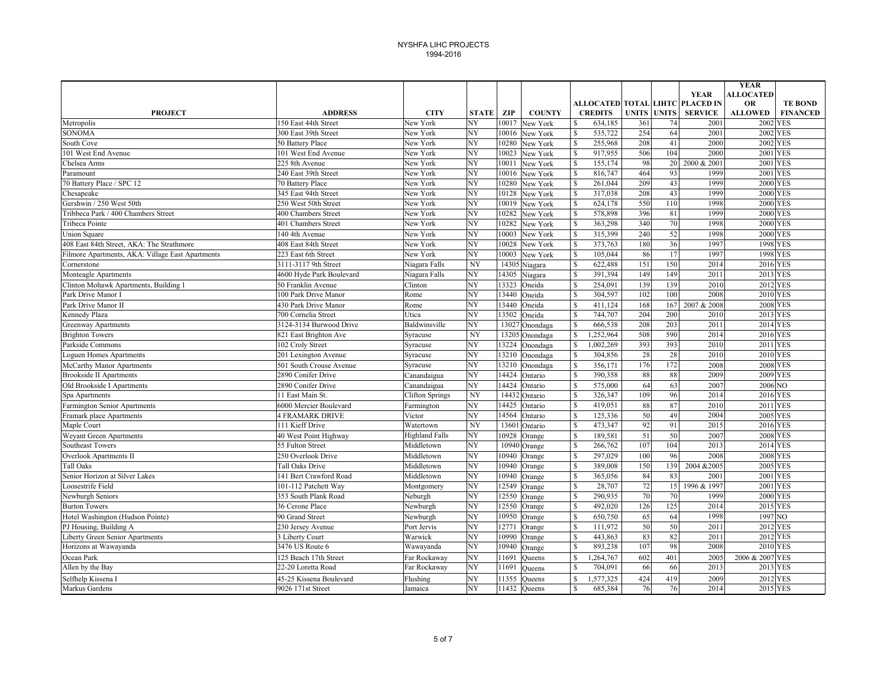|                                                  |                          |                        |                 |       |                |               |                |              |              |                                 | <b>YEAR</b>          |                 |
|--------------------------------------------------|--------------------------|------------------------|-----------------|-------|----------------|---------------|----------------|--------------|--------------|---------------------------------|----------------------|-----------------|
|                                                  |                          |                        |                 |       |                |               |                |              |              | <b>YEAR</b>                     | <b>ALLOCATED</b>     |                 |
|                                                  |                          |                        |                 |       |                |               |                |              |              | ALLOCATED TOTAL LIHTC PLACED IN | OR                   | <b>TE BOND</b>  |
| <b>PROJECT</b>                                   | <b>ADDRESS</b>           | <b>CITY</b>            | <b>STATE</b>    | ZIP   | <b>COUNTY</b>  |               | <b>CREDITS</b> | <b>UNITS</b> | <b>UNITS</b> | <b>SERVICE</b>                  | <b>ALLOWED</b>       | <b>FINANCED</b> |
| Metropolis                                       | 150 East 44th Street     | New York               | NY              | 10017 | New York       | \$            | 634,185        | 361          | 74           | 2001                            | <b>2002 YES</b>      |                 |
| <b>SONOMA</b>                                    | 300 East 39th Street     | New York               | NY              |       | 10016 New York | $\mathbf S$   | 535,722        | 254          | 64           | 2001                            | 2002 YES             |                 |
| South Cove                                       | 50 Battery Place         | New York               | NY              | 10280 | New York       | $\mathbb{S}$  | 255,968        | 208          | 41           | 2000                            | 2002 YES             |                 |
| 101 West End Avenue                              | 101 West End Avenue      | New York               | NY              | 10023 | New York       | $\mathbb{S}$  | 917,955        | 506          | 104          | 2000                            | 2001 YES             |                 |
| Chelsea Arms                                     | 225 8th Avenue           | New York               | NY              | 10011 | New York       | $\mathbb{S}$  | 155,174        | 98           | 20           | 2000 & 2001                     | 2001 YES             |                 |
| Paramount                                        | 240 East 39th Street     | New York               | NY              | 10016 | New York       | $\mathbb{S}$  | 816,747        | 464          | 93           | 1999                            | 2001 YES             |                 |
| 70 Battery Place / SPC 12                        | 70 Battery Place         | New York               | NY              | 10280 | New York       | $\mathbf S$   | 261,044        | 209          | 43           | 1999                            | <b>2000 YES</b>      |                 |
| Chesapeake                                       | 345 East 94th Street     | New York               | NY              |       | 10128 New York | $\mathbb{S}$  | 317,038        | 208          | 43           | 1999                            | 2000 YES             |                 |
| Gershwin / 250 West 50th                         | 250 West 50th Street     | New York               | NY              |       | 10019 New York | $\mathbb{S}$  | 624,178        | 550          | 110          | 1998                            | <b>2000 YES</b>      |                 |
| Tribbeca Park / 400 Chambers Street              | 400 Chambers Street      | New York               | NY              |       | 10282 New York | $\mathbb{S}$  | 578,898        | 396          | 81           | 1999                            | 2000 YES             |                 |
| <b>Tribeca Pointe</b>                            | 401 Chambers Street      | New York               | NY              |       | 10282 New York | \$            | 363,298        | 340          | 70           | 1998                            | <b>2000 YES</b>      |                 |
| <b>Union Square</b>                              | 140 4th Avenue           | New York               | NY              | 10003 | New York       | $\mathbb{S}$  | 315,399        | 240          | 52           | 1998                            | 2000 YES             |                 |
| 408 East 84th Street, AKA: The Strathmore        | 408 East 84th Street     | New York               | NY              | 10028 | New York       | \$            | 373,763        | 180          | 36           | 1997                            | 1998 YES             |                 |
| Filmore Apartments, AKA: Village East Apartments | 223 East 6th Street      | New York               | NY              | 10003 | New York       | $\mathbb{S}$  | 105,044        | 86           | 17           | 1997                            | 1998 YES             |                 |
| Cornerstone                                      | 3111-3117 9th Street     | Niagara Falls          | NY              |       | 14305 Niagara  | <sup>\$</sup> | 622,488        | 151          | 150          | 2014                            | 2016 YES             |                 |
| Monteagle Apartments                             | 4600 Hyde Park Boulevard | Niagara Falls          | NY              | 14305 | Niagara        | \$            | 391,394        | 149          | 149          | 2011                            | 2013 YES             |                 |
| Clinton Mohawk Apartments, Building 1            | 50 Franklin Avenue       | Clinton                | NY              | 13323 | Oneida         | $\mathbf S$   | 254.091        | 139          | 139          | 2010                            | 2012 YES             |                 |
| Park Drive Manor I                               | 100 Park Drive Manor     | Rome                   | NY              |       | 13440 Oneida   | $\mathbb{S}$  | 304,597        | 102          | 100          | 2008                            | 2010 YES             |                 |
| Park Drive Manor II                              | 430 Park Drive Manor     | Rome                   | NY              |       | 13440 Oneida   | $\mathbf S$   | 411,124        | 168          | 167          | 2007 & 2008                     | 2008 YES             |                 |
| Kennedy Plaza                                    | 700 Cornelia Street      | Utica                  | NY              |       | 13502 Oneida   | $\mathbb{S}$  | 744,707        | 204          | 200          | 2010                            | 2013 YES             |                 |
| Greenway Apartments                              | 3124-3134 Burwood Drive  | Baldwinsville          | NY              |       | 13027 Onondaga | $\mathbb{S}$  | 666,538        | 208          | 203          | 2011                            | 2014 YES             |                 |
| <b>Brighton Towers</b>                           | 821 East Brighton Ave    | Syracuse               | NY              |       | 13205 Onondaga | $\mathbf S$   | 1,252,964      | 508          | 590          | 2014                            | 2016 YES             |                 |
| Parkside Commons                                 | 102 Croly Street         | Syracuse               | NY              |       | 13224 Onondaga | $\mathbb{S}$  | 1,002,269      | 393          | 393          | 2010                            | 2011 YES             |                 |
| oguen Homes Apartments                           | 201 Lexington Avenue     | Syracuse               | NY              |       | 13210 Onondaga | $\mathbb{S}$  | 304,856        | 28           | 28           | 2010                            | 2010 YES             |                 |
| McCarthy Manor Apartments                        | 501 South Crouse Avenue  | Syracuse               | NY              |       | 13210 Onondaga | $\mathbb{S}$  | 356,171        | 176          | 172          | 2008                            | 2008 YES             |                 |
| <b>Brookside II Apartments</b>                   | 2890 Conifer Drive       | Canandaigua            | NY              |       | 14424 Ontario  | \$            | 390,358        | 88           | 88           | 2009                            | 2009 YES             |                 |
| Old Brookside I Apartments                       | 2890 Conifer Drive       | Canandaigua            | NY              |       | 14424 Ontario  | $\mathbb{S}$  | 575,000        | 64           | 63           | 2007                            | 2006 NO              |                 |
| Spa Apartments                                   | 11 East Main St.         | <b>Clifton Springs</b> | NY              |       | 14432 Ontario  | \$            | 326,347        | 109          | 96           | 2014                            | 2016 YES             |                 |
| Farmington Senior Apartments                     | 6000 Mercier Boulevard   | Farmington             | NY              | 14425 | Ontario        | $\mathbb{S}$  | 419,051        | 88           | 87           | 2010                            | 2011 YES             |                 |
| Framark place Apartments                         | <b>4 FRAMARK DRIVE</b>   | Victor                 | NY              |       | 14564 Ontario  | $\mathbf S$   | 125,336        | 50           | 49           | 2004                            | 2005 YES             |                 |
| Maple Court                                      | 111 Kieff Drive          | Watertown              | NY              |       | 13601 Ontario  | $\mathbf S$   | 473,347        | 92           | 91           | 2015                            | 2016 YES             |                 |
| <b>Weyant Green Apartments</b>                   | 40 West Point Highway    | <b>Highland Falls</b>  | NY              |       | 10928 Orange   | $\mathbf S$   | 189,581        | 51           | 50           | 2007                            | 2008 YES             |                 |
| Southeast Towers                                 | 55 Fulton Street         | Middletown             | $\overline{NY}$ |       | 10940 Orange   | $\mathbb{S}$  | 266,762        | 107          | 104          | 2013                            | 2014 YES             |                 |
| <b>Overlook Apartments II</b>                    | 250 Overlook Drive       | Middletown             | NY              |       | 10940 Orange   | $\mathbf S$   | 297.029        | 100          | 96           | 2008                            | <b>2008 YES</b>      |                 |
| <b>Tall Oaks</b>                                 | Tall Oaks Drive          | Middletown             | NY              | 10940 | Orange         | $\mathbb{S}$  | 389,008        | 150          | 139          | 2004 & 2005                     | 2005 YES             |                 |
| Senior Horizon at Silver Lakes                   | 141 Bert Crawford Road   | Middletown             | NY              |       | 10940 Orange   | $\mathbf S$   | 365,056        | 84           | 83           | 2001                            | <b>2001 YES</b>      |                 |
| Loosestrife Field                                | 101-112 Patchett Way     | Montgomery             | NY              | 12549 | Orange         | $\mathbb{S}$  | 28,707         | 72           | 15           | 1996 & 1997                     | 2001 YES             |                 |
| Newburgh Seniors                                 | 353 South Plank Road     | Neburgh                | NY              |       | 12550 Orange   | $\mathbb{S}$  | 290,935        | 70           | 70           | 1999                            | 2000 YES             |                 |
| <b>Burton Towers</b>                             | 36 Cerone Place          | Newburgh               | NY              |       | 12550 Orange   | $\mathbb{S}$  | 492,020        | 126          | 125          | 2014                            | 2015 YES             |                 |
|                                                  |                          |                        | NY              |       | 10950 Orange   | $\mathbb{S}$  |                | 65           |              | 1998                            | 1997 NO              |                 |
| Hotel Washington (Hudson Pointe)                 | 90 Grand Street          | Newburgh               |                 |       |                |               | 650,750        | 50           | 64           |                                 |                      |                 |
| PJ Housing, Building A                           | 230 Jersey Avenue        | Port Jervis            | NY              | 12771 | Orange         | $\mathbb{S}$  | 111,972        |              | 50           | 2011                            | 2012 YES             |                 |
| Liberty Green Senior Apartments                  | 3 Liberty Court          | Warwick                | NY              |       | 10990 Orange   | $\mathbb{S}$  | 443,863        | 83<br>107    | 82           | 2011                            | 2012 YES<br>2010 YES |                 |
| Horizons at Wawayanda                            | 3476 US Route 6          | Wawayanda              | NY              | 10940 | Orange         | \$            | 893,238        |              | 98           | 2008                            |                      |                 |
| Ocean Park                                       | 125 Beach 17th Street    | Far Rockaway           | NY              | 11691 | <b>Oueens</b>  | $\mathbb{S}$  | 1,264,767      | 602          | 401          | 2005                            | 2006 & 2007 YES      |                 |
| Allen by the Bay                                 | 22-20 Loretta Road       | Far Rockaway           | NY              | 11691 | <b>Oueens</b>  | \$            | 704,091        | 66           | 66           | 2013                            | 2013 YES             |                 |
| Selfhelp Kissena I                               | 45-25 Kissena Boulevard  | Flushing               | NY              | 11355 | <b>Queens</b>  | $\mathbf S$   | 1,577,325      | 424          | 419          | 2009                            | 2012 YES             |                 |
| Markus Gardens                                   | 9026 171st Street        | Jamaica                | NY              |       | 11432 Oueens   | $\mathbf S$   | 685.384        | 76           | 76           | 2014                            | 2015 YES             |                 |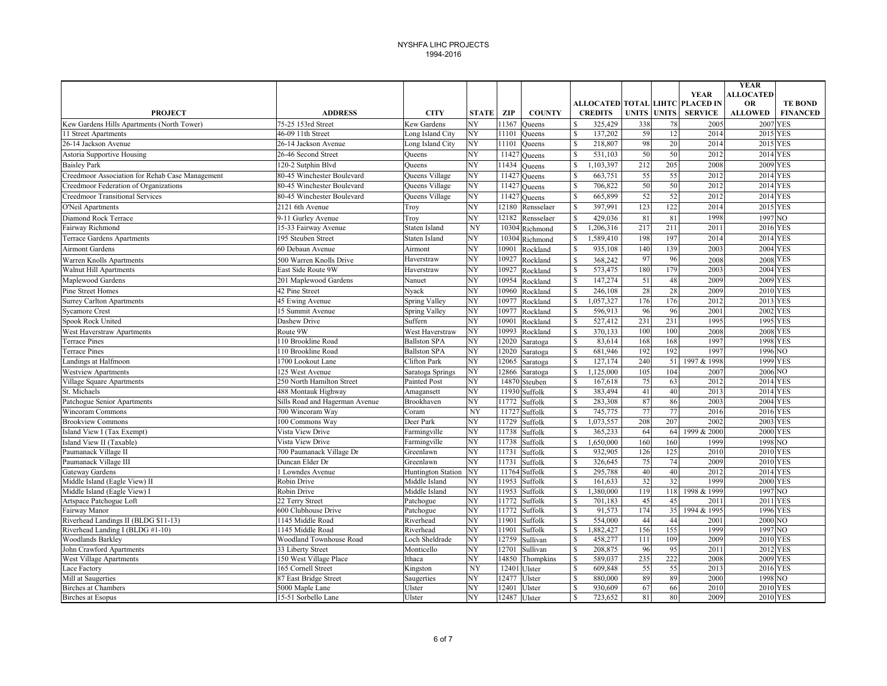| <b>YEAR</b><br><b>ALLOCATED</b><br>ALLOCATED TOTAL LIHTC PLACED IN<br><b>OR</b><br><b>TE BOND</b><br><b>SERVICE</b><br><b>PROJECT</b><br><b>ADDRESS</b><br><b>CITY</b><br><b>STATE</b><br>ZIP<br><b>COUNTY</b><br><b>CREDITS</b><br><b>UNITS UNITS</b><br><b>ALLOWED</b><br><b>FINANCED</b><br>75-25 153rd Street<br>Kew Gardens<br>NY<br>11367<br>$\mathbb{S}$<br>325,429<br>338<br>2005<br>2007 YES<br><b>Oueens</b><br>78<br>59<br>46-09 11th Street<br>Long Island City<br>NY<br>$\mathbf{s}$<br>137,202<br>12<br>2014<br>2015 YES<br>11101<br>Oueens<br>98<br>$\mathcal{S}$<br>218,807<br>20<br>2014<br>NY<br>11101<br>2015 YES<br>26-14 Jackson Avenue<br>Long Island City<br>Queens<br>50<br>531,103<br>50<br>2012<br>Astoria Supportive Housing<br>26-46 Second Street<br>NY<br>$\mathbf{s}$<br>2014 YES<br>Oueens<br>11427 Queens<br>NY<br>1,103,397<br>212<br>205<br>11434<br>$\mathbb{S}$<br>2008<br><b>2009 YES</b><br>120-2 Sutphin Blvd<br>Oueens<br><b>Oueens</b><br>55<br>55<br>NY<br>11427 Queens<br>663,751<br>2012<br>2014 YES<br>Creedmoor Association for Rehab Case Management<br>80-45 Winchester Boulevard<br>Queens Village<br><sup>\$</sup><br>50<br>50<br>NY<br>$\mathbb{S}$<br>706,822<br>2012<br>2014 YES<br>Creedmoor Federation of Organizations<br>80-45 Winchester Boulevard<br>Queens Village<br>11427 Queens<br>52<br>665,899<br>52<br>NY<br>$11427$ Queens<br>$\mathbb{S}$<br>2012<br>2014 YES<br><b>Creedmoor Transitional Services</b><br>80-45 Winchester Boulevard<br>Queens Village<br>123<br>NY<br>397,991<br>122<br>12180<br>$\mathbb{S}$<br>2014<br>2015 YES<br>O'Neil Apartments<br>2121 6th Avenue<br>Rensselaer<br>Troy<br>1998<br>81<br>NY<br>12182<br>$\mathcal{S}$<br>429,036<br>81<br>1997 NO<br>9-11 Gurley Avenue<br>Diamond Rock Terrace<br>Rensselaer<br>Troy<br>217<br>211<br>Fairway Richmond<br>NY<br>$\mathbb{S}$<br>1,206,316<br>2011<br>2016 YES<br>15-33 Fairway Avenue<br>Staten Island<br>10304 Richmond<br>198<br>197<br>NY<br>1,589,410<br>2014<br>2014 YES<br><b>Terrace Gardens Apartments</b><br>195 Steuben Street<br><b>Staten Island</b><br>10304 Richmond<br><sup>\$</sup><br>NY<br>935,108<br>140<br>139<br>2003<br><b>2004 YES</b><br><b>Airmont Gardens</b><br>60 Debaun Avenue<br>10901<br><sup>\$</sup><br>Airmont<br>Rockland<br>97<br>NY<br>96<br>10927<br>$\mathbf S$<br><b>2008 YES</b><br>Haverstraw<br>Rockland<br>368,242<br>2008<br>Warren Knolls Apartments<br>500 Warren Knolls Drive<br>180<br>NY<br>$\mathbb{S}$<br>573,475<br>179<br>2003<br>2004 YES<br><b>Walnut Hill Apartments</b><br>East Side Route 9W<br>10927<br>Haverstraw<br>Rockland<br>51<br>NY<br>$\mathbb{S}$<br>147,274<br>48<br>2009<br>2009 YES<br>Maplewood Gardens<br>201 Maplewood Gardens<br>10954<br>Nanuet<br>Rockland<br>28<br>NY<br>$\mathbb{S}$<br>246,108<br>28<br>2009<br>2010 YES<br><b>Pine Street Homes</b><br>42 Pine Street<br>10960<br>Nyack<br>Rockland<br>NΥ<br>176<br>$\mathbf S$<br>1,057,327<br>176<br>2012<br>2013 YES<br><b>Surrey Carlton Apartments</b><br>45 Ewing Avenue<br>Spring Valley<br>10977<br>Rockland<br>NY<br>$\mathbf S$<br>596,913<br>96<br>96<br>2001<br>2002 YES<br><b>Sycamore Crest</b><br>15 Summit Avenue<br><b>Spring Valley</b><br>10977<br>Rockland<br>NY<br>$\mathcal{S}$<br>231<br>231<br>1995<br>1995 YES<br>Spook Rock United<br>Dashew Drive<br>Suffern<br>10901<br>527,412<br>Rockland<br>NY<br>10993<br>$\mathbb{S}$<br>370,133<br>100<br>100<br>2008<br>2008 YES<br>West Haverstraw Apartments<br>Route 9W<br>West Haverstraw<br>Rockland<br>$\mathbb{S}$<br>168<br>168<br>1997<br>1998 YES<br><b>Ballston SPA</b><br>NY<br>12020<br>83,614<br><b>Terrace Pines</b><br>110 Brookline Road<br>Saratoga<br>NY<br>$\mathcal{S}$<br>681,946<br>192<br>192<br>1997<br>1996 NO<br><b>Terrace Pines</b><br>110 Brookline Road<br><b>Ballston SPA</b><br>12020<br>Saratoga<br>NY<br>$\mathcal{S}$<br>240<br>1700 Lookout Lane<br>12065<br>127,174<br>51<br>1997 & 1998<br>1999 YES<br>andings at Halfmoon<br>Clifton Park<br>Saratoga<br>NY<br>2006 NO<br>12866<br>$\mathbb{S}$<br>1,125,000<br>105<br>104<br>2007<br><b>Westview Apartments</b><br>125 West Avenue<br>Saratoga Springs<br>Saratoga<br>NY<br>$\mathbb{S}$<br>75<br>63<br>2012<br>2014 YES<br>Village Square Apartments<br>250 North Hamilton Street<br>Painted Post<br>14870 Steuben<br>167,618<br>41<br>NY<br>$\mathbf S$<br>40<br>2013<br>St. Michaels<br>11930 Suffolk<br>383,494<br>2014 YES<br>488 Montauk Highway<br>Amagansett<br>87<br>NY<br>$\mathbb{S}$<br>283,308<br>86<br>2003<br>2004 YES<br>Patchogue Senior Apartments<br>Sills Road and Hagerman Avenue<br>Brookhaven<br>11772<br>Suffolk<br>77<br>NY<br>11727 Suffolk<br>$\mathbf S$<br>745,775<br>77<br>2016<br>2016 YES<br><b>Wincoram Commons</b><br>700 Wincoram Way<br>Coram<br>207<br>1,073,557<br>208<br>2002<br>2003 YES<br><b>Brookview Commons</b><br>100 Commons Way<br>Deer Park<br>NY<br>11729<br>\$<br>Suffolk<br>NY<br>11738<br>$\mathbb{S}$<br>365,233<br>64<br>1999 & 2000<br>2000 YES<br>Island View I (Tax Exempt)<br>Vista View Drive<br>Farmingville<br>Suffolk<br>64<br>NY<br>Vista View Drive<br>11738<br>$\mathbb{S}$<br>1,650,000<br>160<br>160<br>1999<br>1998 NO<br>Farmingville<br>Suffolk<br>NY<br>$\mathcal{S}$<br>126<br>Paumanack Village II<br>700 Paumanack Village Dr<br>11731<br>932,905<br>125<br>2010<br>2010 YES<br>Greenlawn<br>Suffolk<br>75<br>NY<br>74<br>2009<br>Paumanack Village III<br>Duncan Elder Dr<br>11731<br>Suffolk<br>$\mathbb{S}$<br>326,645<br>2010 YES<br>Greenlawn<br>40<br>NY<br>$\mathcal{S}$<br>295,788<br>40<br>Gateway Gardens<br>11764 Suffolk<br>2012<br>2014 YES<br>1 Lowndes Avenue<br><b>Huntington Station</b><br>32<br>32<br>Middle Island (Eagle View) II<br>NY<br>11953<br>$\mathbb{S}$<br>161,633<br>1999<br>2000 YES<br>Robin Drive<br>Middle Island<br>Suffolk<br>,380,000<br>119<br>118<br>1997 NO<br>NY<br>11953<br>Suffolk<br>$\mathbb{S}$<br>1998 & 1999<br>Middle Island (Eagle View) I<br>Robin Drive<br>Middle Island<br>NY<br>Artspace Patchogue Loft<br>11772<br>Suffolk<br>$\mathbb{S}$<br>701,183<br>45<br>45<br>2011<br>2011 YES<br>22 Terry Street<br>Patchogue<br>174<br>NY<br>$\mathbf S$<br>35<br>600 Clubhouse Drive<br>91,573<br>1994 & 1995<br>1996 YES<br>Fairway Manor<br>Patchogue<br>11772<br>Suffolk<br>NY<br>$\mathbb{S}$<br>554,000<br>44<br>44<br>2001<br>2000 NO<br>Riverhead Landings II (BLDG \$11-13)<br>1145 Middle Road<br>Riverhead<br>11901<br>Suffolk<br>$\overline{\mathbf{s}}$<br>156<br>155<br>Riverhead Landing I (BLDG #1-10)<br>Riverhead<br>NY<br>Suffolk<br>,882,427<br>1999<br>1997 NO<br>1145 Middle Road<br>11901<br>NY<br>12759<br>111<br>109<br>2010 YES<br><b>Woodlands Barkley</b><br>Woodland Townhouse Road<br>Loch Sheldrade<br>Sullivan<br>$\mathbf{s}$<br>458,277<br>2009<br>95<br>NY<br>12701<br>$\mathbb{S}$<br>208,875<br>96<br>2011<br>2012 YES<br>33 Liberty Street<br>Sullivan<br>John Crawford Apartments<br>Monticello<br>$\mathcal{S}$<br>235<br>222<br>West Village Apartments<br>150 West Village Place<br>NY<br>14850 Thompkins<br>589,037<br>2008<br>2009 YES<br>Ithaca<br>$\mathbb{S}$<br>55<br>NY<br>609,848<br>55<br>2013<br>2016 YES<br>Lace Factory<br>165 Cornell Street<br>12401 Ulster<br>Kingston<br>89<br>87 East Bridge Street<br>Saugerties<br>NY<br>12477<br>$\mathbf{s}$<br>880,000<br>89<br>2000<br>1998 NO<br>Mill at Saugerties<br>Ulster<br>67<br>NY<br>930,609<br>66<br>2010<br>2010 YES<br><b>Birches at Chambers</b><br>5000 Maple Lane<br>Ulster<br>12401<br>Ulster<br><sup>\$</sup><br>81<br><b>2010 YES</b><br>Ulster |                                            |                     |        |    |       |             |         |    |      | <b>YEAR</b> |  |
|----------------------------------------------------------------------------------------------------------------------------------------------------------------------------------------------------------------------------------------------------------------------------------------------------------------------------------------------------------------------------------------------------------------------------------------------------------------------------------------------------------------------------------------------------------------------------------------------------------------------------------------------------------------------------------------------------------------------------------------------------------------------------------------------------------------------------------------------------------------------------------------------------------------------------------------------------------------------------------------------------------------------------------------------------------------------------------------------------------------------------------------------------------------------------------------------------------------------------------------------------------------------------------------------------------------------------------------------------------------------------------------------------------------------------------------------------------------------------------------------------------------------------------------------------------------------------------------------------------------------------------------------------------------------------------------------------------------------------------------------------------------------------------------------------------------------------------------------------------------------------------------------------------------------------------------------------------------------------------------------------------------------------------------------------------------------------------------------------------------------------------------------------------------------------------------------------------------------------------------------------------------------------------------------------------------------------------------------------------------------------------------------------------------------------------------------------------------------------------------------------------------------------------------------------------------------------------------------------------------------------------------------------------------------------------------------------------------------------------------------------------------------------------------------------------------------------------------------------------------------------------------------------------------------------------------------------------------------------------------------------------------------------------------------------------------------------------------------------------------------------------------------------------------------------------------------------------------------------------------------------------------------------------------------------------------------------------------------------------------------------------------------------------------------------------------------------------------------------------------------------------------------------------------------------------------------------------------------------------------------------------------------------------------------------------------------------------------------------------------------------------------------------------------------------------------------------------------------------------------------------------------------------------------------------------------------------------------------------------------------------------------------------------------------------------------------------------------------------------------------------------------------------------------------------------------------------------------------------------------------------------------------------------------------------------------------------------------------------------------------------------------------------------------------------------------------------------------------------------------------------------------------------------------------------------------------------------------------------------------------------------------------------------------------------------------------------------------------------------------------------------------------------------------------------------------------------------------------------------------------------------------------------------------------------------------------------------------------------------------------------------------------------------------------------------------------------------------------------------------------------------------------------------------------------------------------------------------------------------------------------------------------------------------------------------------------------------------------------------------------------------------------------------------------------------------------------------------------------------------------------------------------------------------------------------------------------------------------------------------------------------------------------------------------------------------------------------------------------------------------------------------------------------------------------------------------------------------------------------------------------------------------------------------------------------------------------------------------------------------------------------------------------------------------------------------------------------------------------------------------------------------------------------------------------------------------------------------------------------------------------------------------------------------------------------------------------------------------------------------------------------------------------------------------------------------------------------------------------------------------------------------------------------------------------------------------------------------------------------------------------------------------------------------------------------------------------------------------------------------------------------------------------------------------------------------------------------------------------------------------------------------------------------------------------------------------------------------------------------------------------------------------------------------------------------------------------------------------------------------------------------------------------------------------------------------------------------------------------------------------------------------------------------------------------------------------------------------------------------------------------------------------------------------------------------------------------------------------------------------------------------------------------------------------------------------------------------------------------------------------------------------------|--------------------------------------------|---------------------|--------|----|-------|-------------|---------|----|------|-------------|--|
|                                                                                                                                                                                                                                                                                                                                                                                                                                                                                                                                                                                                                                                                                                                                                                                                                                                                                                                                                                                                                                                                                                                                                                                                                                                                                                                                                                                                                                                                                                                                                                                                                                                                                                                                                                                                                                                                                                                                                                                                                                                                                                                                                                                                                                                                                                                                                                                                                                                                                                                                                                                                                                                                                                                                                                                                                                                                                                                                                                                                                                                                                                                                                                                                                                                                                                                                                                                                                                                                                                                                                                                                                                                                                                                                                                                                                                                                                                                                                                                                                                                                                                                                                                                                                                                                                                                                                                                                                                                                                                                                                                                                                                                                                                                                                                                                                                                                                                                                                                                                                                                                                                                                                                                                                                                                                                                                                                                                                                                                                                                                                                                                                                                                                                                                                                                                                                                                                                                                                                                                                                                                                                                                                                                                                                                                                                                                                                                                                                                                                                                                                                                                                                                                                                                                                                                                                                                                                                                                                                                                                                                                                                                                                                                                                                                                                                                                                                                                                                                                                                                                                                                                                                              |                                            |                     |        |    |       |             |         |    |      |             |  |
|                                                                                                                                                                                                                                                                                                                                                                                                                                                                                                                                                                                                                                                                                                                                                                                                                                                                                                                                                                                                                                                                                                                                                                                                                                                                                                                                                                                                                                                                                                                                                                                                                                                                                                                                                                                                                                                                                                                                                                                                                                                                                                                                                                                                                                                                                                                                                                                                                                                                                                                                                                                                                                                                                                                                                                                                                                                                                                                                                                                                                                                                                                                                                                                                                                                                                                                                                                                                                                                                                                                                                                                                                                                                                                                                                                                                                                                                                                                                                                                                                                                                                                                                                                                                                                                                                                                                                                                                                                                                                                                                                                                                                                                                                                                                                                                                                                                                                                                                                                                                                                                                                                                                                                                                                                                                                                                                                                                                                                                                                                                                                                                                                                                                                                                                                                                                                                                                                                                                                                                                                                                                                                                                                                                                                                                                                                                                                                                                                                                                                                                                                                                                                                                                                                                                                                                                                                                                                                                                                                                                                                                                                                                                                                                                                                                                                                                                                                                                                                                                                                                                                                                                                                              |                                            |                     |        |    |       |             |         |    |      |             |  |
|                                                                                                                                                                                                                                                                                                                                                                                                                                                                                                                                                                                                                                                                                                                                                                                                                                                                                                                                                                                                                                                                                                                                                                                                                                                                                                                                                                                                                                                                                                                                                                                                                                                                                                                                                                                                                                                                                                                                                                                                                                                                                                                                                                                                                                                                                                                                                                                                                                                                                                                                                                                                                                                                                                                                                                                                                                                                                                                                                                                                                                                                                                                                                                                                                                                                                                                                                                                                                                                                                                                                                                                                                                                                                                                                                                                                                                                                                                                                                                                                                                                                                                                                                                                                                                                                                                                                                                                                                                                                                                                                                                                                                                                                                                                                                                                                                                                                                                                                                                                                                                                                                                                                                                                                                                                                                                                                                                                                                                                                                                                                                                                                                                                                                                                                                                                                                                                                                                                                                                                                                                                                                                                                                                                                                                                                                                                                                                                                                                                                                                                                                                                                                                                                                                                                                                                                                                                                                                                                                                                                                                                                                                                                                                                                                                                                                                                                                                                                                                                                                                                                                                                                                                              |                                            |                     |        |    |       |             |         |    |      |             |  |
|                                                                                                                                                                                                                                                                                                                                                                                                                                                                                                                                                                                                                                                                                                                                                                                                                                                                                                                                                                                                                                                                                                                                                                                                                                                                                                                                                                                                                                                                                                                                                                                                                                                                                                                                                                                                                                                                                                                                                                                                                                                                                                                                                                                                                                                                                                                                                                                                                                                                                                                                                                                                                                                                                                                                                                                                                                                                                                                                                                                                                                                                                                                                                                                                                                                                                                                                                                                                                                                                                                                                                                                                                                                                                                                                                                                                                                                                                                                                                                                                                                                                                                                                                                                                                                                                                                                                                                                                                                                                                                                                                                                                                                                                                                                                                                                                                                                                                                                                                                                                                                                                                                                                                                                                                                                                                                                                                                                                                                                                                                                                                                                                                                                                                                                                                                                                                                                                                                                                                                                                                                                                                                                                                                                                                                                                                                                                                                                                                                                                                                                                                                                                                                                                                                                                                                                                                                                                                                                                                                                                                                                                                                                                                                                                                                                                                                                                                                                                                                                                                                                                                                                                                                              | Kew Gardens Hills Apartments (North Tower) |                     |        |    |       |             |         |    |      |             |  |
|                                                                                                                                                                                                                                                                                                                                                                                                                                                                                                                                                                                                                                                                                                                                                                                                                                                                                                                                                                                                                                                                                                                                                                                                                                                                                                                                                                                                                                                                                                                                                                                                                                                                                                                                                                                                                                                                                                                                                                                                                                                                                                                                                                                                                                                                                                                                                                                                                                                                                                                                                                                                                                                                                                                                                                                                                                                                                                                                                                                                                                                                                                                                                                                                                                                                                                                                                                                                                                                                                                                                                                                                                                                                                                                                                                                                                                                                                                                                                                                                                                                                                                                                                                                                                                                                                                                                                                                                                                                                                                                                                                                                                                                                                                                                                                                                                                                                                                                                                                                                                                                                                                                                                                                                                                                                                                                                                                                                                                                                                                                                                                                                                                                                                                                                                                                                                                                                                                                                                                                                                                                                                                                                                                                                                                                                                                                                                                                                                                                                                                                                                                                                                                                                                                                                                                                                                                                                                                                                                                                                                                                                                                                                                                                                                                                                                                                                                                                                                                                                                                                                                                                                                                              | 11 Street Apartments                       |                     |        |    |       |             |         |    |      |             |  |
|                                                                                                                                                                                                                                                                                                                                                                                                                                                                                                                                                                                                                                                                                                                                                                                                                                                                                                                                                                                                                                                                                                                                                                                                                                                                                                                                                                                                                                                                                                                                                                                                                                                                                                                                                                                                                                                                                                                                                                                                                                                                                                                                                                                                                                                                                                                                                                                                                                                                                                                                                                                                                                                                                                                                                                                                                                                                                                                                                                                                                                                                                                                                                                                                                                                                                                                                                                                                                                                                                                                                                                                                                                                                                                                                                                                                                                                                                                                                                                                                                                                                                                                                                                                                                                                                                                                                                                                                                                                                                                                                                                                                                                                                                                                                                                                                                                                                                                                                                                                                                                                                                                                                                                                                                                                                                                                                                                                                                                                                                                                                                                                                                                                                                                                                                                                                                                                                                                                                                                                                                                                                                                                                                                                                                                                                                                                                                                                                                                                                                                                                                                                                                                                                                                                                                                                                                                                                                                                                                                                                                                                                                                                                                                                                                                                                                                                                                                                                                                                                                                                                                                                                                                              | 26-14 Jackson Avenue                       |                     |        |    |       |             |         |    |      |             |  |
|                                                                                                                                                                                                                                                                                                                                                                                                                                                                                                                                                                                                                                                                                                                                                                                                                                                                                                                                                                                                                                                                                                                                                                                                                                                                                                                                                                                                                                                                                                                                                                                                                                                                                                                                                                                                                                                                                                                                                                                                                                                                                                                                                                                                                                                                                                                                                                                                                                                                                                                                                                                                                                                                                                                                                                                                                                                                                                                                                                                                                                                                                                                                                                                                                                                                                                                                                                                                                                                                                                                                                                                                                                                                                                                                                                                                                                                                                                                                                                                                                                                                                                                                                                                                                                                                                                                                                                                                                                                                                                                                                                                                                                                                                                                                                                                                                                                                                                                                                                                                                                                                                                                                                                                                                                                                                                                                                                                                                                                                                                                                                                                                                                                                                                                                                                                                                                                                                                                                                                                                                                                                                                                                                                                                                                                                                                                                                                                                                                                                                                                                                                                                                                                                                                                                                                                                                                                                                                                                                                                                                                                                                                                                                                                                                                                                                                                                                                                                                                                                                                                                                                                                                                              |                                            |                     |        |    |       |             |         |    |      |             |  |
|                                                                                                                                                                                                                                                                                                                                                                                                                                                                                                                                                                                                                                                                                                                                                                                                                                                                                                                                                                                                                                                                                                                                                                                                                                                                                                                                                                                                                                                                                                                                                                                                                                                                                                                                                                                                                                                                                                                                                                                                                                                                                                                                                                                                                                                                                                                                                                                                                                                                                                                                                                                                                                                                                                                                                                                                                                                                                                                                                                                                                                                                                                                                                                                                                                                                                                                                                                                                                                                                                                                                                                                                                                                                                                                                                                                                                                                                                                                                                                                                                                                                                                                                                                                                                                                                                                                                                                                                                                                                                                                                                                                                                                                                                                                                                                                                                                                                                                                                                                                                                                                                                                                                                                                                                                                                                                                                                                                                                                                                                                                                                                                                                                                                                                                                                                                                                                                                                                                                                                                                                                                                                                                                                                                                                                                                                                                                                                                                                                                                                                                                                                                                                                                                                                                                                                                                                                                                                                                                                                                                                                                                                                                                                                                                                                                                                                                                                                                                                                                                                                                                                                                                                                              | <b>Baisley Park</b>                        |                     |        |    |       |             |         |    |      |             |  |
|                                                                                                                                                                                                                                                                                                                                                                                                                                                                                                                                                                                                                                                                                                                                                                                                                                                                                                                                                                                                                                                                                                                                                                                                                                                                                                                                                                                                                                                                                                                                                                                                                                                                                                                                                                                                                                                                                                                                                                                                                                                                                                                                                                                                                                                                                                                                                                                                                                                                                                                                                                                                                                                                                                                                                                                                                                                                                                                                                                                                                                                                                                                                                                                                                                                                                                                                                                                                                                                                                                                                                                                                                                                                                                                                                                                                                                                                                                                                                                                                                                                                                                                                                                                                                                                                                                                                                                                                                                                                                                                                                                                                                                                                                                                                                                                                                                                                                                                                                                                                                                                                                                                                                                                                                                                                                                                                                                                                                                                                                                                                                                                                                                                                                                                                                                                                                                                                                                                                                                                                                                                                                                                                                                                                                                                                                                                                                                                                                                                                                                                                                                                                                                                                                                                                                                                                                                                                                                                                                                                                                                                                                                                                                                                                                                                                                                                                                                                                                                                                                                                                                                                                                                              |                                            |                     |        |    |       |             |         |    |      |             |  |
|                                                                                                                                                                                                                                                                                                                                                                                                                                                                                                                                                                                                                                                                                                                                                                                                                                                                                                                                                                                                                                                                                                                                                                                                                                                                                                                                                                                                                                                                                                                                                                                                                                                                                                                                                                                                                                                                                                                                                                                                                                                                                                                                                                                                                                                                                                                                                                                                                                                                                                                                                                                                                                                                                                                                                                                                                                                                                                                                                                                                                                                                                                                                                                                                                                                                                                                                                                                                                                                                                                                                                                                                                                                                                                                                                                                                                                                                                                                                                                                                                                                                                                                                                                                                                                                                                                                                                                                                                                                                                                                                                                                                                                                                                                                                                                                                                                                                                                                                                                                                                                                                                                                                                                                                                                                                                                                                                                                                                                                                                                                                                                                                                                                                                                                                                                                                                                                                                                                                                                                                                                                                                                                                                                                                                                                                                                                                                                                                                                                                                                                                                                                                                                                                                                                                                                                                                                                                                                                                                                                                                                                                                                                                                                                                                                                                                                                                                                                                                                                                                                                                                                                                                                              |                                            |                     |        |    |       |             |         |    |      |             |  |
|                                                                                                                                                                                                                                                                                                                                                                                                                                                                                                                                                                                                                                                                                                                                                                                                                                                                                                                                                                                                                                                                                                                                                                                                                                                                                                                                                                                                                                                                                                                                                                                                                                                                                                                                                                                                                                                                                                                                                                                                                                                                                                                                                                                                                                                                                                                                                                                                                                                                                                                                                                                                                                                                                                                                                                                                                                                                                                                                                                                                                                                                                                                                                                                                                                                                                                                                                                                                                                                                                                                                                                                                                                                                                                                                                                                                                                                                                                                                                                                                                                                                                                                                                                                                                                                                                                                                                                                                                                                                                                                                                                                                                                                                                                                                                                                                                                                                                                                                                                                                                                                                                                                                                                                                                                                                                                                                                                                                                                                                                                                                                                                                                                                                                                                                                                                                                                                                                                                                                                                                                                                                                                                                                                                                                                                                                                                                                                                                                                                                                                                                                                                                                                                                                                                                                                                                                                                                                                                                                                                                                                                                                                                                                                                                                                                                                                                                                                                                                                                                                                                                                                                                                                              |                                            |                     |        |    |       |             |         |    |      |             |  |
|                                                                                                                                                                                                                                                                                                                                                                                                                                                                                                                                                                                                                                                                                                                                                                                                                                                                                                                                                                                                                                                                                                                                                                                                                                                                                                                                                                                                                                                                                                                                                                                                                                                                                                                                                                                                                                                                                                                                                                                                                                                                                                                                                                                                                                                                                                                                                                                                                                                                                                                                                                                                                                                                                                                                                                                                                                                                                                                                                                                                                                                                                                                                                                                                                                                                                                                                                                                                                                                                                                                                                                                                                                                                                                                                                                                                                                                                                                                                                                                                                                                                                                                                                                                                                                                                                                                                                                                                                                                                                                                                                                                                                                                                                                                                                                                                                                                                                                                                                                                                                                                                                                                                                                                                                                                                                                                                                                                                                                                                                                                                                                                                                                                                                                                                                                                                                                                                                                                                                                                                                                                                                                                                                                                                                                                                                                                                                                                                                                                                                                                                                                                                                                                                                                                                                                                                                                                                                                                                                                                                                                                                                                                                                                                                                                                                                                                                                                                                                                                                                                                                                                                                                                              |                                            |                     |        |    |       |             |         |    |      |             |  |
|                                                                                                                                                                                                                                                                                                                                                                                                                                                                                                                                                                                                                                                                                                                                                                                                                                                                                                                                                                                                                                                                                                                                                                                                                                                                                                                                                                                                                                                                                                                                                                                                                                                                                                                                                                                                                                                                                                                                                                                                                                                                                                                                                                                                                                                                                                                                                                                                                                                                                                                                                                                                                                                                                                                                                                                                                                                                                                                                                                                                                                                                                                                                                                                                                                                                                                                                                                                                                                                                                                                                                                                                                                                                                                                                                                                                                                                                                                                                                                                                                                                                                                                                                                                                                                                                                                                                                                                                                                                                                                                                                                                                                                                                                                                                                                                                                                                                                                                                                                                                                                                                                                                                                                                                                                                                                                                                                                                                                                                                                                                                                                                                                                                                                                                                                                                                                                                                                                                                                                                                                                                                                                                                                                                                                                                                                                                                                                                                                                                                                                                                                                                                                                                                                                                                                                                                                                                                                                                                                                                                                                                                                                                                                                                                                                                                                                                                                                                                                                                                                                                                                                                                                                              |                                            |                     |        |    |       |             |         |    |      |             |  |
|                                                                                                                                                                                                                                                                                                                                                                                                                                                                                                                                                                                                                                                                                                                                                                                                                                                                                                                                                                                                                                                                                                                                                                                                                                                                                                                                                                                                                                                                                                                                                                                                                                                                                                                                                                                                                                                                                                                                                                                                                                                                                                                                                                                                                                                                                                                                                                                                                                                                                                                                                                                                                                                                                                                                                                                                                                                                                                                                                                                                                                                                                                                                                                                                                                                                                                                                                                                                                                                                                                                                                                                                                                                                                                                                                                                                                                                                                                                                                                                                                                                                                                                                                                                                                                                                                                                                                                                                                                                                                                                                                                                                                                                                                                                                                                                                                                                                                                                                                                                                                                                                                                                                                                                                                                                                                                                                                                                                                                                                                                                                                                                                                                                                                                                                                                                                                                                                                                                                                                                                                                                                                                                                                                                                                                                                                                                                                                                                                                                                                                                                                                                                                                                                                                                                                                                                                                                                                                                                                                                                                                                                                                                                                                                                                                                                                                                                                                                                                                                                                                                                                                                                                                              |                                            |                     |        |    |       |             |         |    |      |             |  |
|                                                                                                                                                                                                                                                                                                                                                                                                                                                                                                                                                                                                                                                                                                                                                                                                                                                                                                                                                                                                                                                                                                                                                                                                                                                                                                                                                                                                                                                                                                                                                                                                                                                                                                                                                                                                                                                                                                                                                                                                                                                                                                                                                                                                                                                                                                                                                                                                                                                                                                                                                                                                                                                                                                                                                                                                                                                                                                                                                                                                                                                                                                                                                                                                                                                                                                                                                                                                                                                                                                                                                                                                                                                                                                                                                                                                                                                                                                                                                                                                                                                                                                                                                                                                                                                                                                                                                                                                                                                                                                                                                                                                                                                                                                                                                                                                                                                                                                                                                                                                                                                                                                                                                                                                                                                                                                                                                                                                                                                                                                                                                                                                                                                                                                                                                                                                                                                                                                                                                                                                                                                                                                                                                                                                                                                                                                                                                                                                                                                                                                                                                                                                                                                                                                                                                                                                                                                                                                                                                                                                                                                                                                                                                                                                                                                                                                                                                                                                                                                                                                                                                                                                                                              |                                            |                     |        |    |       |             |         |    |      |             |  |
|                                                                                                                                                                                                                                                                                                                                                                                                                                                                                                                                                                                                                                                                                                                                                                                                                                                                                                                                                                                                                                                                                                                                                                                                                                                                                                                                                                                                                                                                                                                                                                                                                                                                                                                                                                                                                                                                                                                                                                                                                                                                                                                                                                                                                                                                                                                                                                                                                                                                                                                                                                                                                                                                                                                                                                                                                                                                                                                                                                                                                                                                                                                                                                                                                                                                                                                                                                                                                                                                                                                                                                                                                                                                                                                                                                                                                                                                                                                                                                                                                                                                                                                                                                                                                                                                                                                                                                                                                                                                                                                                                                                                                                                                                                                                                                                                                                                                                                                                                                                                                                                                                                                                                                                                                                                                                                                                                                                                                                                                                                                                                                                                                                                                                                                                                                                                                                                                                                                                                                                                                                                                                                                                                                                                                                                                                                                                                                                                                                                                                                                                                                                                                                                                                                                                                                                                                                                                                                                                                                                                                                                                                                                                                                                                                                                                                                                                                                                                                                                                                                                                                                                                                                              |                                            |                     |        |    |       |             |         |    |      |             |  |
|                                                                                                                                                                                                                                                                                                                                                                                                                                                                                                                                                                                                                                                                                                                                                                                                                                                                                                                                                                                                                                                                                                                                                                                                                                                                                                                                                                                                                                                                                                                                                                                                                                                                                                                                                                                                                                                                                                                                                                                                                                                                                                                                                                                                                                                                                                                                                                                                                                                                                                                                                                                                                                                                                                                                                                                                                                                                                                                                                                                                                                                                                                                                                                                                                                                                                                                                                                                                                                                                                                                                                                                                                                                                                                                                                                                                                                                                                                                                                                                                                                                                                                                                                                                                                                                                                                                                                                                                                                                                                                                                                                                                                                                                                                                                                                                                                                                                                                                                                                                                                                                                                                                                                                                                                                                                                                                                                                                                                                                                                                                                                                                                                                                                                                                                                                                                                                                                                                                                                                                                                                                                                                                                                                                                                                                                                                                                                                                                                                                                                                                                                                                                                                                                                                                                                                                                                                                                                                                                                                                                                                                                                                                                                                                                                                                                                                                                                                                                                                                                                                                                                                                                                                              |                                            |                     |        |    |       |             |         |    |      |             |  |
|                                                                                                                                                                                                                                                                                                                                                                                                                                                                                                                                                                                                                                                                                                                                                                                                                                                                                                                                                                                                                                                                                                                                                                                                                                                                                                                                                                                                                                                                                                                                                                                                                                                                                                                                                                                                                                                                                                                                                                                                                                                                                                                                                                                                                                                                                                                                                                                                                                                                                                                                                                                                                                                                                                                                                                                                                                                                                                                                                                                                                                                                                                                                                                                                                                                                                                                                                                                                                                                                                                                                                                                                                                                                                                                                                                                                                                                                                                                                                                                                                                                                                                                                                                                                                                                                                                                                                                                                                                                                                                                                                                                                                                                                                                                                                                                                                                                                                                                                                                                                                                                                                                                                                                                                                                                                                                                                                                                                                                                                                                                                                                                                                                                                                                                                                                                                                                                                                                                                                                                                                                                                                                                                                                                                                                                                                                                                                                                                                                                                                                                                                                                                                                                                                                                                                                                                                                                                                                                                                                                                                                                                                                                                                                                                                                                                                                                                                                                                                                                                                                                                                                                                                                              |                                            |                     |        |    |       |             |         |    |      |             |  |
|                                                                                                                                                                                                                                                                                                                                                                                                                                                                                                                                                                                                                                                                                                                                                                                                                                                                                                                                                                                                                                                                                                                                                                                                                                                                                                                                                                                                                                                                                                                                                                                                                                                                                                                                                                                                                                                                                                                                                                                                                                                                                                                                                                                                                                                                                                                                                                                                                                                                                                                                                                                                                                                                                                                                                                                                                                                                                                                                                                                                                                                                                                                                                                                                                                                                                                                                                                                                                                                                                                                                                                                                                                                                                                                                                                                                                                                                                                                                                                                                                                                                                                                                                                                                                                                                                                                                                                                                                                                                                                                                                                                                                                                                                                                                                                                                                                                                                                                                                                                                                                                                                                                                                                                                                                                                                                                                                                                                                                                                                                                                                                                                                                                                                                                                                                                                                                                                                                                                                                                                                                                                                                                                                                                                                                                                                                                                                                                                                                                                                                                                                                                                                                                                                                                                                                                                                                                                                                                                                                                                                                                                                                                                                                                                                                                                                                                                                                                                                                                                                                                                                                                                                                              |                                            |                     |        |    |       |             |         |    |      |             |  |
|                                                                                                                                                                                                                                                                                                                                                                                                                                                                                                                                                                                                                                                                                                                                                                                                                                                                                                                                                                                                                                                                                                                                                                                                                                                                                                                                                                                                                                                                                                                                                                                                                                                                                                                                                                                                                                                                                                                                                                                                                                                                                                                                                                                                                                                                                                                                                                                                                                                                                                                                                                                                                                                                                                                                                                                                                                                                                                                                                                                                                                                                                                                                                                                                                                                                                                                                                                                                                                                                                                                                                                                                                                                                                                                                                                                                                                                                                                                                                                                                                                                                                                                                                                                                                                                                                                                                                                                                                                                                                                                                                                                                                                                                                                                                                                                                                                                                                                                                                                                                                                                                                                                                                                                                                                                                                                                                                                                                                                                                                                                                                                                                                                                                                                                                                                                                                                                                                                                                                                                                                                                                                                                                                                                                                                                                                                                                                                                                                                                                                                                                                                                                                                                                                                                                                                                                                                                                                                                                                                                                                                                                                                                                                                                                                                                                                                                                                                                                                                                                                                                                                                                                                                              |                                            |                     |        |    |       |             |         |    |      |             |  |
|                                                                                                                                                                                                                                                                                                                                                                                                                                                                                                                                                                                                                                                                                                                                                                                                                                                                                                                                                                                                                                                                                                                                                                                                                                                                                                                                                                                                                                                                                                                                                                                                                                                                                                                                                                                                                                                                                                                                                                                                                                                                                                                                                                                                                                                                                                                                                                                                                                                                                                                                                                                                                                                                                                                                                                                                                                                                                                                                                                                                                                                                                                                                                                                                                                                                                                                                                                                                                                                                                                                                                                                                                                                                                                                                                                                                                                                                                                                                                                                                                                                                                                                                                                                                                                                                                                                                                                                                                                                                                                                                                                                                                                                                                                                                                                                                                                                                                                                                                                                                                                                                                                                                                                                                                                                                                                                                                                                                                                                                                                                                                                                                                                                                                                                                                                                                                                                                                                                                                                                                                                                                                                                                                                                                                                                                                                                                                                                                                                                                                                                                                                                                                                                                                                                                                                                                                                                                                                                                                                                                                                                                                                                                                                                                                                                                                                                                                                                                                                                                                                                                                                                                                                              |                                            |                     |        |    |       |             |         |    |      |             |  |
|                                                                                                                                                                                                                                                                                                                                                                                                                                                                                                                                                                                                                                                                                                                                                                                                                                                                                                                                                                                                                                                                                                                                                                                                                                                                                                                                                                                                                                                                                                                                                                                                                                                                                                                                                                                                                                                                                                                                                                                                                                                                                                                                                                                                                                                                                                                                                                                                                                                                                                                                                                                                                                                                                                                                                                                                                                                                                                                                                                                                                                                                                                                                                                                                                                                                                                                                                                                                                                                                                                                                                                                                                                                                                                                                                                                                                                                                                                                                                                                                                                                                                                                                                                                                                                                                                                                                                                                                                                                                                                                                                                                                                                                                                                                                                                                                                                                                                                                                                                                                                                                                                                                                                                                                                                                                                                                                                                                                                                                                                                                                                                                                                                                                                                                                                                                                                                                                                                                                                                                                                                                                                                                                                                                                                                                                                                                                                                                                                                                                                                                                                                                                                                                                                                                                                                                                                                                                                                                                                                                                                                                                                                                                                                                                                                                                                                                                                                                                                                                                                                                                                                                                                                              |                                            |                     |        |    |       |             |         |    |      |             |  |
|                                                                                                                                                                                                                                                                                                                                                                                                                                                                                                                                                                                                                                                                                                                                                                                                                                                                                                                                                                                                                                                                                                                                                                                                                                                                                                                                                                                                                                                                                                                                                                                                                                                                                                                                                                                                                                                                                                                                                                                                                                                                                                                                                                                                                                                                                                                                                                                                                                                                                                                                                                                                                                                                                                                                                                                                                                                                                                                                                                                                                                                                                                                                                                                                                                                                                                                                                                                                                                                                                                                                                                                                                                                                                                                                                                                                                                                                                                                                                                                                                                                                                                                                                                                                                                                                                                                                                                                                                                                                                                                                                                                                                                                                                                                                                                                                                                                                                                                                                                                                                                                                                                                                                                                                                                                                                                                                                                                                                                                                                                                                                                                                                                                                                                                                                                                                                                                                                                                                                                                                                                                                                                                                                                                                                                                                                                                                                                                                                                                                                                                                                                                                                                                                                                                                                                                                                                                                                                                                                                                                                                                                                                                                                                                                                                                                                                                                                                                                                                                                                                                                                                                                                                              |                                            |                     |        |    |       |             |         |    |      |             |  |
|                                                                                                                                                                                                                                                                                                                                                                                                                                                                                                                                                                                                                                                                                                                                                                                                                                                                                                                                                                                                                                                                                                                                                                                                                                                                                                                                                                                                                                                                                                                                                                                                                                                                                                                                                                                                                                                                                                                                                                                                                                                                                                                                                                                                                                                                                                                                                                                                                                                                                                                                                                                                                                                                                                                                                                                                                                                                                                                                                                                                                                                                                                                                                                                                                                                                                                                                                                                                                                                                                                                                                                                                                                                                                                                                                                                                                                                                                                                                                                                                                                                                                                                                                                                                                                                                                                                                                                                                                                                                                                                                                                                                                                                                                                                                                                                                                                                                                                                                                                                                                                                                                                                                                                                                                                                                                                                                                                                                                                                                                                                                                                                                                                                                                                                                                                                                                                                                                                                                                                                                                                                                                                                                                                                                                                                                                                                                                                                                                                                                                                                                                                                                                                                                                                                                                                                                                                                                                                                                                                                                                                                                                                                                                                                                                                                                                                                                                                                                                                                                                                                                                                                                                                              |                                            |                     |        |    |       |             |         |    |      |             |  |
|                                                                                                                                                                                                                                                                                                                                                                                                                                                                                                                                                                                                                                                                                                                                                                                                                                                                                                                                                                                                                                                                                                                                                                                                                                                                                                                                                                                                                                                                                                                                                                                                                                                                                                                                                                                                                                                                                                                                                                                                                                                                                                                                                                                                                                                                                                                                                                                                                                                                                                                                                                                                                                                                                                                                                                                                                                                                                                                                                                                                                                                                                                                                                                                                                                                                                                                                                                                                                                                                                                                                                                                                                                                                                                                                                                                                                                                                                                                                                                                                                                                                                                                                                                                                                                                                                                                                                                                                                                                                                                                                                                                                                                                                                                                                                                                                                                                                                                                                                                                                                                                                                                                                                                                                                                                                                                                                                                                                                                                                                                                                                                                                                                                                                                                                                                                                                                                                                                                                                                                                                                                                                                                                                                                                                                                                                                                                                                                                                                                                                                                                                                                                                                                                                                                                                                                                                                                                                                                                                                                                                                                                                                                                                                                                                                                                                                                                                                                                                                                                                                                                                                                                                                              |                                            |                     |        |    |       |             |         |    |      |             |  |
|                                                                                                                                                                                                                                                                                                                                                                                                                                                                                                                                                                                                                                                                                                                                                                                                                                                                                                                                                                                                                                                                                                                                                                                                                                                                                                                                                                                                                                                                                                                                                                                                                                                                                                                                                                                                                                                                                                                                                                                                                                                                                                                                                                                                                                                                                                                                                                                                                                                                                                                                                                                                                                                                                                                                                                                                                                                                                                                                                                                                                                                                                                                                                                                                                                                                                                                                                                                                                                                                                                                                                                                                                                                                                                                                                                                                                                                                                                                                                                                                                                                                                                                                                                                                                                                                                                                                                                                                                                                                                                                                                                                                                                                                                                                                                                                                                                                                                                                                                                                                                                                                                                                                                                                                                                                                                                                                                                                                                                                                                                                                                                                                                                                                                                                                                                                                                                                                                                                                                                                                                                                                                                                                                                                                                                                                                                                                                                                                                                                                                                                                                                                                                                                                                                                                                                                                                                                                                                                                                                                                                                                                                                                                                                                                                                                                                                                                                                                                                                                                                                                                                                                                                                              |                                            |                     |        |    |       |             |         |    |      |             |  |
|                                                                                                                                                                                                                                                                                                                                                                                                                                                                                                                                                                                                                                                                                                                                                                                                                                                                                                                                                                                                                                                                                                                                                                                                                                                                                                                                                                                                                                                                                                                                                                                                                                                                                                                                                                                                                                                                                                                                                                                                                                                                                                                                                                                                                                                                                                                                                                                                                                                                                                                                                                                                                                                                                                                                                                                                                                                                                                                                                                                                                                                                                                                                                                                                                                                                                                                                                                                                                                                                                                                                                                                                                                                                                                                                                                                                                                                                                                                                                                                                                                                                                                                                                                                                                                                                                                                                                                                                                                                                                                                                                                                                                                                                                                                                                                                                                                                                                                                                                                                                                                                                                                                                                                                                                                                                                                                                                                                                                                                                                                                                                                                                                                                                                                                                                                                                                                                                                                                                                                                                                                                                                                                                                                                                                                                                                                                                                                                                                                                                                                                                                                                                                                                                                                                                                                                                                                                                                                                                                                                                                                                                                                                                                                                                                                                                                                                                                                                                                                                                                                                                                                                                                                              |                                            |                     |        |    |       |             |         |    |      |             |  |
|                                                                                                                                                                                                                                                                                                                                                                                                                                                                                                                                                                                                                                                                                                                                                                                                                                                                                                                                                                                                                                                                                                                                                                                                                                                                                                                                                                                                                                                                                                                                                                                                                                                                                                                                                                                                                                                                                                                                                                                                                                                                                                                                                                                                                                                                                                                                                                                                                                                                                                                                                                                                                                                                                                                                                                                                                                                                                                                                                                                                                                                                                                                                                                                                                                                                                                                                                                                                                                                                                                                                                                                                                                                                                                                                                                                                                                                                                                                                                                                                                                                                                                                                                                                                                                                                                                                                                                                                                                                                                                                                                                                                                                                                                                                                                                                                                                                                                                                                                                                                                                                                                                                                                                                                                                                                                                                                                                                                                                                                                                                                                                                                                                                                                                                                                                                                                                                                                                                                                                                                                                                                                                                                                                                                                                                                                                                                                                                                                                                                                                                                                                                                                                                                                                                                                                                                                                                                                                                                                                                                                                                                                                                                                                                                                                                                                                                                                                                                                                                                                                                                                                                                                                              |                                            |                     |        |    |       |             |         |    |      |             |  |
|                                                                                                                                                                                                                                                                                                                                                                                                                                                                                                                                                                                                                                                                                                                                                                                                                                                                                                                                                                                                                                                                                                                                                                                                                                                                                                                                                                                                                                                                                                                                                                                                                                                                                                                                                                                                                                                                                                                                                                                                                                                                                                                                                                                                                                                                                                                                                                                                                                                                                                                                                                                                                                                                                                                                                                                                                                                                                                                                                                                                                                                                                                                                                                                                                                                                                                                                                                                                                                                                                                                                                                                                                                                                                                                                                                                                                                                                                                                                                                                                                                                                                                                                                                                                                                                                                                                                                                                                                                                                                                                                                                                                                                                                                                                                                                                                                                                                                                                                                                                                                                                                                                                                                                                                                                                                                                                                                                                                                                                                                                                                                                                                                                                                                                                                                                                                                                                                                                                                                                                                                                                                                                                                                                                                                                                                                                                                                                                                                                                                                                                                                                                                                                                                                                                                                                                                                                                                                                                                                                                                                                                                                                                                                                                                                                                                                                                                                                                                                                                                                                                                                                                                                                              |                                            |                     |        |    |       |             |         |    |      |             |  |
|                                                                                                                                                                                                                                                                                                                                                                                                                                                                                                                                                                                                                                                                                                                                                                                                                                                                                                                                                                                                                                                                                                                                                                                                                                                                                                                                                                                                                                                                                                                                                                                                                                                                                                                                                                                                                                                                                                                                                                                                                                                                                                                                                                                                                                                                                                                                                                                                                                                                                                                                                                                                                                                                                                                                                                                                                                                                                                                                                                                                                                                                                                                                                                                                                                                                                                                                                                                                                                                                                                                                                                                                                                                                                                                                                                                                                                                                                                                                                                                                                                                                                                                                                                                                                                                                                                                                                                                                                                                                                                                                                                                                                                                                                                                                                                                                                                                                                                                                                                                                                                                                                                                                                                                                                                                                                                                                                                                                                                                                                                                                                                                                                                                                                                                                                                                                                                                                                                                                                                                                                                                                                                                                                                                                                                                                                                                                                                                                                                                                                                                                                                                                                                                                                                                                                                                                                                                                                                                                                                                                                                                                                                                                                                                                                                                                                                                                                                                                                                                                                                                                                                                                                                              |                                            |                     |        |    |       |             |         |    |      |             |  |
|                                                                                                                                                                                                                                                                                                                                                                                                                                                                                                                                                                                                                                                                                                                                                                                                                                                                                                                                                                                                                                                                                                                                                                                                                                                                                                                                                                                                                                                                                                                                                                                                                                                                                                                                                                                                                                                                                                                                                                                                                                                                                                                                                                                                                                                                                                                                                                                                                                                                                                                                                                                                                                                                                                                                                                                                                                                                                                                                                                                                                                                                                                                                                                                                                                                                                                                                                                                                                                                                                                                                                                                                                                                                                                                                                                                                                                                                                                                                                                                                                                                                                                                                                                                                                                                                                                                                                                                                                                                                                                                                                                                                                                                                                                                                                                                                                                                                                                                                                                                                                                                                                                                                                                                                                                                                                                                                                                                                                                                                                                                                                                                                                                                                                                                                                                                                                                                                                                                                                                                                                                                                                                                                                                                                                                                                                                                                                                                                                                                                                                                                                                                                                                                                                                                                                                                                                                                                                                                                                                                                                                                                                                                                                                                                                                                                                                                                                                                                                                                                                                                                                                                                                                              |                                            |                     |        |    |       |             |         |    |      |             |  |
|                                                                                                                                                                                                                                                                                                                                                                                                                                                                                                                                                                                                                                                                                                                                                                                                                                                                                                                                                                                                                                                                                                                                                                                                                                                                                                                                                                                                                                                                                                                                                                                                                                                                                                                                                                                                                                                                                                                                                                                                                                                                                                                                                                                                                                                                                                                                                                                                                                                                                                                                                                                                                                                                                                                                                                                                                                                                                                                                                                                                                                                                                                                                                                                                                                                                                                                                                                                                                                                                                                                                                                                                                                                                                                                                                                                                                                                                                                                                                                                                                                                                                                                                                                                                                                                                                                                                                                                                                                                                                                                                                                                                                                                                                                                                                                                                                                                                                                                                                                                                                                                                                                                                                                                                                                                                                                                                                                                                                                                                                                                                                                                                                                                                                                                                                                                                                                                                                                                                                                                                                                                                                                                                                                                                                                                                                                                                                                                                                                                                                                                                                                                                                                                                                                                                                                                                                                                                                                                                                                                                                                                                                                                                                                                                                                                                                                                                                                                                                                                                                                                                                                                                                                              |                                            |                     |        |    |       |             |         |    |      |             |  |
|                                                                                                                                                                                                                                                                                                                                                                                                                                                                                                                                                                                                                                                                                                                                                                                                                                                                                                                                                                                                                                                                                                                                                                                                                                                                                                                                                                                                                                                                                                                                                                                                                                                                                                                                                                                                                                                                                                                                                                                                                                                                                                                                                                                                                                                                                                                                                                                                                                                                                                                                                                                                                                                                                                                                                                                                                                                                                                                                                                                                                                                                                                                                                                                                                                                                                                                                                                                                                                                                                                                                                                                                                                                                                                                                                                                                                                                                                                                                                                                                                                                                                                                                                                                                                                                                                                                                                                                                                                                                                                                                                                                                                                                                                                                                                                                                                                                                                                                                                                                                                                                                                                                                                                                                                                                                                                                                                                                                                                                                                                                                                                                                                                                                                                                                                                                                                                                                                                                                                                                                                                                                                                                                                                                                                                                                                                                                                                                                                                                                                                                                                                                                                                                                                                                                                                                                                                                                                                                                                                                                                                                                                                                                                                                                                                                                                                                                                                                                                                                                                                                                                                                                                                              |                                            |                     |        |    |       |             |         |    |      |             |  |
|                                                                                                                                                                                                                                                                                                                                                                                                                                                                                                                                                                                                                                                                                                                                                                                                                                                                                                                                                                                                                                                                                                                                                                                                                                                                                                                                                                                                                                                                                                                                                                                                                                                                                                                                                                                                                                                                                                                                                                                                                                                                                                                                                                                                                                                                                                                                                                                                                                                                                                                                                                                                                                                                                                                                                                                                                                                                                                                                                                                                                                                                                                                                                                                                                                                                                                                                                                                                                                                                                                                                                                                                                                                                                                                                                                                                                                                                                                                                                                                                                                                                                                                                                                                                                                                                                                                                                                                                                                                                                                                                                                                                                                                                                                                                                                                                                                                                                                                                                                                                                                                                                                                                                                                                                                                                                                                                                                                                                                                                                                                                                                                                                                                                                                                                                                                                                                                                                                                                                                                                                                                                                                                                                                                                                                                                                                                                                                                                                                                                                                                                                                                                                                                                                                                                                                                                                                                                                                                                                                                                                                                                                                                                                                                                                                                                                                                                                                                                                                                                                                                                                                                                                                              |                                            |                     |        |    |       |             |         |    |      |             |  |
|                                                                                                                                                                                                                                                                                                                                                                                                                                                                                                                                                                                                                                                                                                                                                                                                                                                                                                                                                                                                                                                                                                                                                                                                                                                                                                                                                                                                                                                                                                                                                                                                                                                                                                                                                                                                                                                                                                                                                                                                                                                                                                                                                                                                                                                                                                                                                                                                                                                                                                                                                                                                                                                                                                                                                                                                                                                                                                                                                                                                                                                                                                                                                                                                                                                                                                                                                                                                                                                                                                                                                                                                                                                                                                                                                                                                                                                                                                                                                                                                                                                                                                                                                                                                                                                                                                                                                                                                                                                                                                                                                                                                                                                                                                                                                                                                                                                                                                                                                                                                                                                                                                                                                                                                                                                                                                                                                                                                                                                                                                                                                                                                                                                                                                                                                                                                                                                                                                                                                                                                                                                                                                                                                                                                                                                                                                                                                                                                                                                                                                                                                                                                                                                                                                                                                                                                                                                                                                                                                                                                                                                                                                                                                                                                                                                                                                                                                                                                                                                                                                                                                                                                                                              |                                            |                     |        |    |       |             |         |    |      |             |  |
|                                                                                                                                                                                                                                                                                                                                                                                                                                                                                                                                                                                                                                                                                                                                                                                                                                                                                                                                                                                                                                                                                                                                                                                                                                                                                                                                                                                                                                                                                                                                                                                                                                                                                                                                                                                                                                                                                                                                                                                                                                                                                                                                                                                                                                                                                                                                                                                                                                                                                                                                                                                                                                                                                                                                                                                                                                                                                                                                                                                                                                                                                                                                                                                                                                                                                                                                                                                                                                                                                                                                                                                                                                                                                                                                                                                                                                                                                                                                                                                                                                                                                                                                                                                                                                                                                                                                                                                                                                                                                                                                                                                                                                                                                                                                                                                                                                                                                                                                                                                                                                                                                                                                                                                                                                                                                                                                                                                                                                                                                                                                                                                                                                                                                                                                                                                                                                                                                                                                                                                                                                                                                                                                                                                                                                                                                                                                                                                                                                                                                                                                                                                                                                                                                                                                                                                                                                                                                                                                                                                                                                                                                                                                                                                                                                                                                                                                                                                                                                                                                                                                                                                                                                              | Island View II (Taxable)                   |                     |        |    |       |             |         |    |      |             |  |
|                                                                                                                                                                                                                                                                                                                                                                                                                                                                                                                                                                                                                                                                                                                                                                                                                                                                                                                                                                                                                                                                                                                                                                                                                                                                                                                                                                                                                                                                                                                                                                                                                                                                                                                                                                                                                                                                                                                                                                                                                                                                                                                                                                                                                                                                                                                                                                                                                                                                                                                                                                                                                                                                                                                                                                                                                                                                                                                                                                                                                                                                                                                                                                                                                                                                                                                                                                                                                                                                                                                                                                                                                                                                                                                                                                                                                                                                                                                                                                                                                                                                                                                                                                                                                                                                                                                                                                                                                                                                                                                                                                                                                                                                                                                                                                                                                                                                                                                                                                                                                                                                                                                                                                                                                                                                                                                                                                                                                                                                                                                                                                                                                                                                                                                                                                                                                                                                                                                                                                                                                                                                                                                                                                                                                                                                                                                                                                                                                                                                                                                                                                                                                                                                                                                                                                                                                                                                                                                                                                                                                                                                                                                                                                                                                                                                                                                                                                                                                                                                                                                                                                                                                                              |                                            |                     |        |    |       |             |         |    |      |             |  |
|                                                                                                                                                                                                                                                                                                                                                                                                                                                                                                                                                                                                                                                                                                                                                                                                                                                                                                                                                                                                                                                                                                                                                                                                                                                                                                                                                                                                                                                                                                                                                                                                                                                                                                                                                                                                                                                                                                                                                                                                                                                                                                                                                                                                                                                                                                                                                                                                                                                                                                                                                                                                                                                                                                                                                                                                                                                                                                                                                                                                                                                                                                                                                                                                                                                                                                                                                                                                                                                                                                                                                                                                                                                                                                                                                                                                                                                                                                                                                                                                                                                                                                                                                                                                                                                                                                                                                                                                                                                                                                                                                                                                                                                                                                                                                                                                                                                                                                                                                                                                                                                                                                                                                                                                                                                                                                                                                                                                                                                                                                                                                                                                                                                                                                                                                                                                                                                                                                                                                                                                                                                                                                                                                                                                                                                                                                                                                                                                                                                                                                                                                                                                                                                                                                                                                                                                                                                                                                                                                                                                                                                                                                                                                                                                                                                                                                                                                                                                                                                                                                                                                                                                                                              |                                            |                     |        |    |       |             |         |    |      |             |  |
|                                                                                                                                                                                                                                                                                                                                                                                                                                                                                                                                                                                                                                                                                                                                                                                                                                                                                                                                                                                                                                                                                                                                                                                                                                                                                                                                                                                                                                                                                                                                                                                                                                                                                                                                                                                                                                                                                                                                                                                                                                                                                                                                                                                                                                                                                                                                                                                                                                                                                                                                                                                                                                                                                                                                                                                                                                                                                                                                                                                                                                                                                                                                                                                                                                                                                                                                                                                                                                                                                                                                                                                                                                                                                                                                                                                                                                                                                                                                                                                                                                                                                                                                                                                                                                                                                                                                                                                                                                                                                                                                                                                                                                                                                                                                                                                                                                                                                                                                                                                                                                                                                                                                                                                                                                                                                                                                                                                                                                                                                                                                                                                                                                                                                                                                                                                                                                                                                                                                                                                                                                                                                                                                                                                                                                                                                                                                                                                                                                                                                                                                                                                                                                                                                                                                                                                                                                                                                                                                                                                                                                                                                                                                                                                                                                                                                                                                                                                                                                                                                                                                                                                                                                              |                                            |                     |        |    |       |             |         |    |      |             |  |
|                                                                                                                                                                                                                                                                                                                                                                                                                                                                                                                                                                                                                                                                                                                                                                                                                                                                                                                                                                                                                                                                                                                                                                                                                                                                                                                                                                                                                                                                                                                                                                                                                                                                                                                                                                                                                                                                                                                                                                                                                                                                                                                                                                                                                                                                                                                                                                                                                                                                                                                                                                                                                                                                                                                                                                                                                                                                                                                                                                                                                                                                                                                                                                                                                                                                                                                                                                                                                                                                                                                                                                                                                                                                                                                                                                                                                                                                                                                                                                                                                                                                                                                                                                                                                                                                                                                                                                                                                                                                                                                                                                                                                                                                                                                                                                                                                                                                                                                                                                                                                                                                                                                                                                                                                                                                                                                                                                                                                                                                                                                                                                                                                                                                                                                                                                                                                                                                                                                                                                                                                                                                                                                                                                                                                                                                                                                                                                                                                                                                                                                                                                                                                                                                                                                                                                                                                                                                                                                                                                                                                                                                                                                                                                                                                                                                                                                                                                                                                                                                                                                                                                                                                                              |                                            |                     |        |    |       |             |         |    |      |             |  |
|                                                                                                                                                                                                                                                                                                                                                                                                                                                                                                                                                                                                                                                                                                                                                                                                                                                                                                                                                                                                                                                                                                                                                                                                                                                                                                                                                                                                                                                                                                                                                                                                                                                                                                                                                                                                                                                                                                                                                                                                                                                                                                                                                                                                                                                                                                                                                                                                                                                                                                                                                                                                                                                                                                                                                                                                                                                                                                                                                                                                                                                                                                                                                                                                                                                                                                                                                                                                                                                                                                                                                                                                                                                                                                                                                                                                                                                                                                                                                                                                                                                                                                                                                                                                                                                                                                                                                                                                                                                                                                                                                                                                                                                                                                                                                                                                                                                                                                                                                                                                                                                                                                                                                                                                                                                                                                                                                                                                                                                                                                                                                                                                                                                                                                                                                                                                                                                                                                                                                                                                                                                                                                                                                                                                                                                                                                                                                                                                                                                                                                                                                                                                                                                                                                                                                                                                                                                                                                                                                                                                                                                                                                                                                                                                                                                                                                                                                                                                                                                                                                                                                                                                                                              |                                            |                     |        |    |       |             |         |    |      |             |  |
|                                                                                                                                                                                                                                                                                                                                                                                                                                                                                                                                                                                                                                                                                                                                                                                                                                                                                                                                                                                                                                                                                                                                                                                                                                                                                                                                                                                                                                                                                                                                                                                                                                                                                                                                                                                                                                                                                                                                                                                                                                                                                                                                                                                                                                                                                                                                                                                                                                                                                                                                                                                                                                                                                                                                                                                                                                                                                                                                                                                                                                                                                                                                                                                                                                                                                                                                                                                                                                                                                                                                                                                                                                                                                                                                                                                                                                                                                                                                                                                                                                                                                                                                                                                                                                                                                                                                                                                                                                                                                                                                                                                                                                                                                                                                                                                                                                                                                                                                                                                                                                                                                                                                                                                                                                                                                                                                                                                                                                                                                                                                                                                                                                                                                                                                                                                                                                                                                                                                                                                                                                                                                                                                                                                                                                                                                                                                                                                                                                                                                                                                                                                                                                                                                                                                                                                                                                                                                                                                                                                                                                                                                                                                                                                                                                                                                                                                                                                                                                                                                                                                                                                                                                              |                                            |                     |        |    |       |             |         |    |      |             |  |
|                                                                                                                                                                                                                                                                                                                                                                                                                                                                                                                                                                                                                                                                                                                                                                                                                                                                                                                                                                                                                                                                                                                                                                                                                                                                                                                                                                                                                                                                                                                                                                                                                                                                                                                                                                                                                                                                                                                                                                                                                                                                                                                                                                                                                                                                                                                                                                                                                                                                                                                                                                                                                                                                                                                                                                                                                                                                                                                                                                                                                                                                                                                                                                                                                                                                                                                                                                                                                                                                                                                                                                                                                                                                                                                                                                                                                                                                                                                                                                                                                                                                                                                                                                                                                                                                                                                                                                                                                                                                                                                                                                                                                                                                                                                                                                                                                                                                                                                                                                                                                                                                                                                                                                                                                                                                                                                                                                                                                                                                                                                                                                                                                                                                                                                                                                                                                                                                                                                                                                                                                                                                                                                                                                                                                                                                                                                                                                                                                                                                                                                                                                                                                                                                                                                                                                                                                                                                                                                                                                                                                                                                                                                                                                                                                                                                                                                                                                                                                                                                                                                                                                                                                                              |                                            |                     |        |    |       |             |         |    |      |             |  |
|                                                                                                                                                                                                                                                                                                                                                                                                                                                                                                                                                                                                                                                                                                                                                                                                                                                                                                                                                                                                                                                                                                                                                                                                                                                                                                                                                                                                                                                                                                                                                                                                                                                                                                                                                                                                                                                                                                                                                                                                                                                                                                                                                                                                                                                                                                                                                                                                                                                                                                                                                                                                                                                                                                                                                                                                                                                                                                                                                                                                                                                                                                                                                                                                                                                                                                                                                                                                                                                                                                                                                                                                                                                                                                                                                                                                                                                                                                                                                                                                                                                                                                                                                                                                                                                                                                                                                                                                                                                                                                                                                                                                                                                                                                                                                                                                                                                                                                                                                                                                                                                                                                                                                                                                                                                                                                                                                                                                                                                                                                                                                                                                                                                                                                                                                                                                                                                                                                                                                                                                                                                                                                                                                                                                                                                                                                                                                                                                                                                                                                                                                                                                                                                                                                                                                                                                                                                                                                                                                                                                                                                                                                                                                                                                                                                                                                                                                                                                                                                                                                                                                                                                                                              |                                            |                     |        |    |       |             |         |    |      |             |  |
|                                                                                                                                                                                                                                                                                                                                                                                                                                                                                                                                                                                                                                                                                                                                                                                                                                                                                                                                                                                                                                                                                                                                                                                                                                                                                                                                                                                                                                                                                                                                                                                                                                                                                                                                                                                                                                                                                                                                                                                                                                                                                                                                                                                                                                                                                                                                                                                                                                                                                                                                                                                                                                                                                                                                                                                                                                                                                                                                                                                                                                                                                                                                                                                                                                                                                                                                                                                                                                                                                                                                                                                                                                                                                                                                                                                                                                                                                                                                                                                                                                                                                                                                                                                                                                                                                                                                                                                                                                                                                                                                                                                                                                                                                                                                                                                                                                                                                                                                                                                                                                                                                                                                                                                                                                                                                                                                                                                                                                                                                                                                                                                                                                                                                                                                                                                                                                                                                                                                                                                                                                                                                                                                                                                                                                                                                                                                                                                                                                                                                                                                                                                                                                                                                                                                                                                                                                                                                                                                                                                                                                                                                                                                                                                                                                                                                                                                                                                                                                                                                                                                                                                                                                              |                                            |                     |        |    |       |             |         |    |      |             |  |
|                                                                                                                                                                                                                                                                                                                                                                                                                                                                                                                                                                                                                                                                                                                                                                                                                                                                                                                                                                                                                                                                                                                                                                                                                                                                                                                                                                                                                                                                                                                                                                                                                                                                                                                                                                                                                                                                                                                                                                                                                                                                                                                                                                                                                                                                                                                                                                                                                                                                                                                                                                                                                                                                                                                                                                                                                                                                                                                                                                                                                                                                                                                                                                                                                                                                                                                                                                                                                                                                                                                                                                                                                                                                                                                                                                                                                                                                                                                                                                                                                                                                                                                                                                                                                                                                                                                                                                                                                                                                                                                                                                                                                                                                                                                                                                                                                                                                                                                                                                                                                                                                                                                                                                                                                                                                                                                                                                                                                                                                                                                                                                                                                                                                                                                                                                                                                                                                                                                                                                                                                                                                                                                                                                                                                                                                                                                                                                                                                                                                                                                                                                                                                                                                                                                                                                                                                                                                                                                                                                                                                                                                                                                                                                                                                                                                                                                                                                                                                                                                                                                                                                                                                                              |                                            |                     |        |    |       |             |         |    |      |             |  |
|                                                                                                                                                                                                                                                                                                                                                                                                                                                                                                                                                                                                                                                                                                                                                                                                                                                                                                                                                                                                                                                                                                                                                                                                                                                                                                                                                                                                                                                                                                                                                                                                                                                                                                                                                                                                                                                                                                                                                                                                                                                                                                                                                                                                                                                                                                                                                                                                                                                                                                                                                                                                                                                                                                                                                                                                                                                                                                                                                                                                                                                                                                                                                                                                                                                                                                                                                                                                                                                                                                                                                                                                                                                                                                                                                                                                                                                                                                                                                                                                                                                                                                                                                                                                                                                                                                                                                                                                                                                                                                                                                                                                                                                                                                                                                                                                                                                                                                                                                                                                                                                                                                                                                                                                                                                                                                                                                                                                                                                                                                                                                                                                                                                                                                                                                                                                                                                                                                                                                                                                                                                                                                                                                                                                                                                                                                                                                                                                                                                                                                                                                                                                                                                                                                                                                                                                                                                                                                                                                                                                                                                                                                                                                                                                                                                                                                                                                                                                                                                                                                                                                                                                                                              |                                            |                     |        |    |       |             |         |    |      |             |  |
|                                                                                                                                                                                                                                                                                                                                                                                                                                                                                                                                                                                                                                                                                                                                                                                                                                                                                                                                                                                                                                                                                                                                                                                                                                                                                                                                                                                                                                                                                                                                                                                                                                                                                                                                                                                                                                                                                                                                                                                                                                                                                                                                                                                                                                                                                                                                                                                                                                                                                                                                                                                                                                                                                                                                                                                                                                                                                                                                                                                                                                                                                                                                                                                                                                                                                                                                                                                                                                                                                                                                                                                                                                                                                                                                                                                                                                                                                                                                                                                                                                                                                                                                                                                                                                                                                                                                                                                                                                                                                                                                                                                                                                                                                                                                                                                                                                                                                                                                                                                                                                                                                                                                                                                                                                                                                                                                                                                                                                                                                                                                                                                                                                                                                                                                                                                                                                                                                                                                                                                                                                                                                                                                                                                                                                                                                                                                                                                                                                                                                                                                                                                                                                                                                                                                                                                                                                                                                                                                                                                                                                                                                                                                                                                                                                                                                                                                                                                                                                                                                                                                                                                                                                              |                                            |                     |        |    |       |             |         |    |      |             |  |
|                                                                                                                                                                                                                                                                                                                                                                                                                                                                                                                                                                                                                                                                                                                                                                                                                                                                                                                                                                                                                                                                                                                                                                                                                                                                                                                                                                                                                                                                                                                                                                                                                                                                                                                                                                                                                                                                                                                                                                                                                                                                                                                                                                                                                                                                                                                                                                                                                                                                                                                                                                                                                                                                                                                                                                                                                                                                                                                                                                                                                                                                                                                                                                                                                                                                                                                                                                                                                                                                                                                                                                                                                                                                                                                                                                                                                                                                                                                                                                                                                                                                                                                                                                                                                                                                                                                                                                                                                                                                                                                                                                                                                                                                                                                                                                                                                                                                                                                                                                                                                                                                                                                                                                                                                                                                                                                                                                                                                                                                                                                                                                                                                                                                                                                                                                                                                                                                                                                                                                                                                                                                                                                                                                                                                                                                                                                                                                                                                                                                                                                                                                                                                                                                                                                                                                                                                                                                                                                                                                                                                                                                                                                                                                                                                                                                                                                                                                                                                                                                                                                                                                                                                                              |                                            |                     |        |    |       |             |         |    |      |             |  |
|                                                                                                                                                                                                                                                                                                                                                                                                                                                                                                                                                                                                                                                                                                                                                                                                                                                                                                                                                                                                                                                                                                                                                                                                                                                                                                                                                                                                                                                                                                                                                                                                                                                                                                                                                                                                                                                                                                                                                                                                                                                                                                                                                                                                                                                                                                                                                                                                                                                                                                                                                                                                                                                                                                                                                                                                                                                                                                                                                                                                                                                                                                                                                                                                                                                                                                                                                                                                                                                                                                                                                                                                                                                                                                                                                                                                                                                                                                                                                                                                                                                                                                                                                                                                                                                                                                                                                                                                                                                                                                                                                                                                                                                                                                                                                                                                                                                                                                                                                                                                                                                                                                                                                                                                                                                                                                                                                                                                                                                                                                                                                                                                                                                                                                                                                                                                                                                                                                                                                                                                                                                                                                                                                                                                                                                                                                                                                                                                                                                                                                                                                                                                                                                                                                                                                                                                                                                                                                                                                                                                                                                                                                                                                                                                                                                                                                                                                                                                                                                                                                                                                                                                                                              |                                            |                     |        |    |       |             |         |    |      |             |  |
|                                                                                                                                                                                                                                                                                                                                                                                                                                                                                                                                                                                                                                                                                                                                                                                                                                                                                                                                                                                                                                                                                                                                                                                                                                                                                                                                                                                                                                                                                                                                                                                                                                                                                                                                                                                                                                                                                                                                                                                                                                                                                                                                                                                                                                                                                                                                                                                                                                                                                                                                                                                                                                                                                                                                                                                                                                                                                                                                                                                                                                                                                                                                                                                                                                                                                                                                                                                                                                                                                                                                                                                                                                                                                                                                                                                                                                                                                                                                                                                                                                                                                                                                                                                                                                                                                                                                                                                                                                                                                                                                                                                                                                                                                                                                                                                                                                                                                                                                                                                                                                                                                                                                                                                                                                                                                                                                                                                                                                                                                                                                                                                                                                                                                                                                                                                                                                                                                                                                                                                                                                                                                                                                                                                                                                                                                                                                                                                                                                                                                                                                                                                                                                                                                                                                                                                                                                                                                                                                                                                                                                                                                                                                                                                                                                                                                                                                                                                                                                                                                                                                                                                                                                              | <b>Birches</b> at Esopus                   | 15-51 Sorbello Lane | Ulster | NY | 12487 | $\mathbf S$ | 723.652 | 80 | 2009 |             |  |